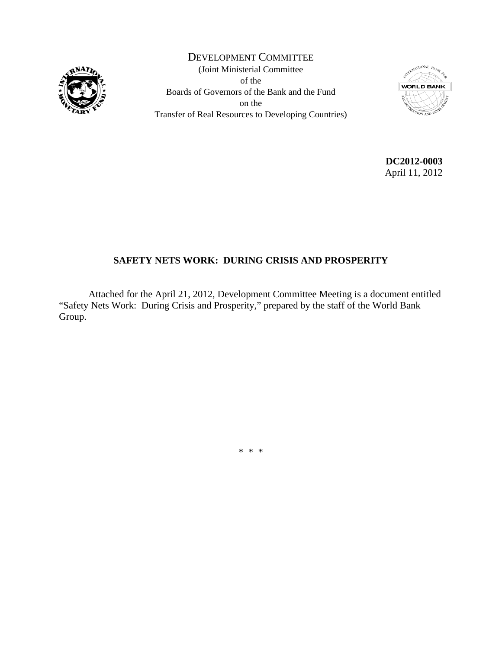

DEVELOPMENT COMMITTEE (Joint Ministerial Committee of the Boards of Governors of the Bank and the Fund on the Transfer of Real Resources to Developing Countries)



**DC2012-0003**  April 11, 2012

# **SAFETY NETS WORK: DURING CRISIS AND PROSPERITY**

 Attached for the April 21, 2012, Development Committee Meeting is a document entitled "Safety Nets Work: During Crisis and Prosperity," prepared by the staff of the World Bank Group.

\* \* \*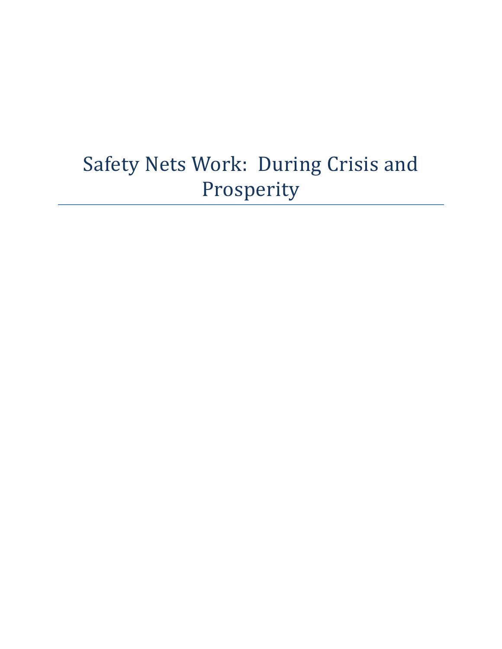# Safety Nets Work: During Crisis and Prosperity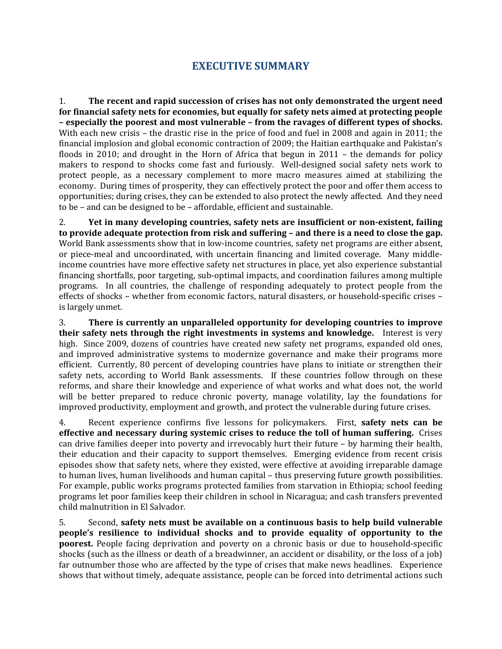# **EXECUTIVE SUMMARY**

1. **The recent and rapid succession of crises has not only demonstrated the urgent need for financial safety nets for economies, but equally for safety nets aimed at protecting people – especially the poorest and most vulnerable – from the ravages of different types of shocks.**  With each new crisis – the drastic rise in the price of food and fuel in 2008 and again in 2011; the financial implosion and global economic contraction of 2009; the Haitian earthquake and Pakistan's floods in 2010; and drought in the Horn of Africa that begun in 2011 – the demands for policy makers to respond to shocks come fast and furiously. Well‐designed social safety nets work to protect people, as a necessary complement to more macro measures aimed at stabilizing the economy. During times of prosperity, they can effectively protect the poor and offer them access to opportunities; during crises, they can be extended to also protect the newly affected. And they need to be – and can be designed to be – affordable, efficient and sustainable.

2. **Yet in many developing countries, safety nets are insufficient or nonexistent, failing to provide adequate protection from risk and suffering – and there is a need to close the gap.** World Bank assessments show that in low-income countries, safety net programs are either absent, or piece-meal and uncoordinated, with uncertain financing and limited coverage. Many middleincome countries have more effective safety net structures in place, yet also experience substantial financing shortfalls, poor targeting, sub‐optimal impacts, and coordination failures among multiple programs. In all countries, the challenge of responding adequately to protect people from the effects of shocks – whether from economic factors, natural disasters, or household‐specific crises – is largely unmet.

3. **There is currently an unparalleled opportunity for developing countries to improve their safety nets through the right investments in systems and knowledge.** Interest is very high. Since 2009, dozens of countries have created new safety net programs, expanded old ones, and improved administrative systems to modernize governance and make their programs more efficient. Currently, 80 percent of developing countries have plans to initiate or strengthen their safety nets, according to World Bank assessments. If these countries follow through on these reforms, and share their knowledge and experience of what works and what does not, the world will be better prepared to reduce chronic poverty, manage volatility, lay the foundations for improved productivity, employment and growth, and protect the vulnerable during future crises.

4. Recent experience confirms five lessons for policymakers. First, **safety nets can be effective and necessary during systemic crises to reduce the toll of human suffering.** Crises can drive families deeper into poverty and irrevocably hurt their future – by harming their health, their education and their capacity to support themselves. Emerging evidence from recent crisis episodes show that safety nets, where they existed, were effective at avoiding irreparable damage to human lives, human livelihoods and human capital – thus preserving future growth possibilities. For example, public works programs protected families from starvation in Ethiopia; school feeding programs let poor families keep their children in school in Nicaragua; and cash transfers prevented child malnutrition in El Salvador.

5. Second, **safety nets must be available on a continuous basis to help build vulnerable people's resilience to individual shocks and to provide equality of opportunity to the poorest.** People facing deprivation and poverty on a chronic basis or due to household-specific shocks (such as the illness or death of a breadwinner, an accident or disability, or the loss of a job) far outnumber those who are affected by the type of crises that make news headlines. Experience shows that without timely, adequate assistance, people can be forced into detrimental actions such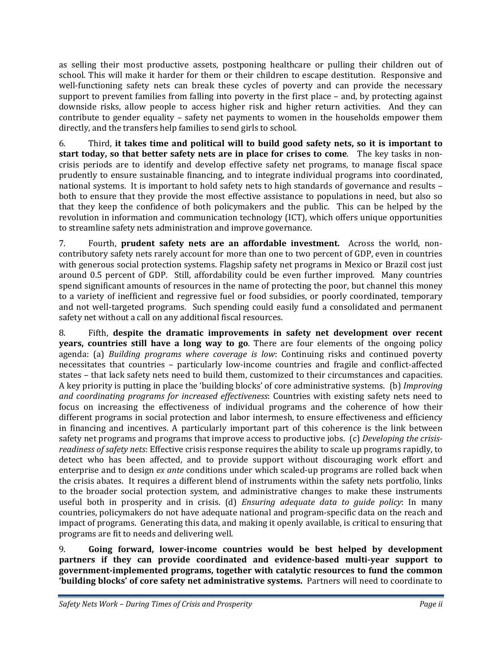as selling their most productive assets, postponing healthcare or pulling their children out of school. This will make it harder for them or their children to escape destitution. Responsive and well-functioning safety nets can break these cycles of poverty and can provide the necessary support to prevent families from falling into poverty in the first place – and, by protecting against downside risks, allow people to access higher risk and higher return activities. And they can contribute to gender equality - safety net payments to women in the households empower them directly, and the transfers help families to send girls to school.

6. Third, **it takes time and political will to build good safety nets, so it is important to start today, so that better safety nets are in place for crises to come**. The key tasks in non‐ crisis periods are to identify and develop effective safety net programs, to manage fiscal space prudently to ensure sustainable financing, and to integrate individual programs into coordinated, national systems. It is important to hold safety nets to high standards of governance and results – both to ensure that they provide the most effective assistance to populations in need, but also so that they keep the confidence of both policymakers and the public. This can be helped by the revolution in information and communication technology (ICT), which offers unique opportunities to streamline safety nets administration and improve governance.

7. Fourth, **prudent safety nets are an affordable investment.** Across the world, non‐ contributory safety nets rarely account for more than one to two percent of GDP, even in countries with generous social protection systems. Flagship safety net programs in Mexico or Brazil cost just around 0.5 percent of GDP. Still, affordability could be even further improved. Many countries spend significant amounts of resources in the name of protecting the poor, but channel this money to a variety of inefficient and regressive fuel or food subsidies, or poorly coordinated, temporary and not well-targeted programs. Such spending could easily fund a consolidated and permanent safety net without a call on any additional fiscal resources.

8. Fifth, **despite the dramatic improvements in safety net development over recent years, countries still have a long way to go**. There are four elements of the ongoing policy agenda: (a) *Building programs where coverage is low*: Continuing risks and continued poverty necessitates that countries – particularly low-income countries and fragile and conflict-affected states – that lack safety nets need to build them, customized to their circumstances and capacities. A key priority is putting in place the 'building blocks' of core administrative systems. (b) *Improving and coordinating programs for increased effectiveness*: Countries with existing safety nets need to focus on increasing the effectiveness of individual programs and the coherence of how their different programs in social protection and labor intermesh, to ensure effectiveness and efficiency in financing and incentives. A particularly important part of this coherence is the link between safety net programs and programs that improve access to productive jobs. (c) *Developing the crisisreadiness of safety nets*: Effective crisis response requires the ability to scale up programs rapidly, to detect who has been affected, and to provide support without discouraging work effort and enterprise and to design *ex ante* conditions under which scaled‐up programs are rolled back when the crisis abates. It requires a different blend of instruments within the safety nets portfolio, links to the broader social protection system, and administrative changes to make these instruments useful both in prosperity and in crisis. (d) *Ensuring adequate data to guide policy*: In many countries, policymakers do not have adequate national and program‐specific data on the reach and impact of programs. Generating this data, and making it openly available, is critical to ensuring that programs are fit to needs and delivering well.

9. **Going forward, lowerincome countries would be best helped by development partners if they can provide coordinated and evidencebased multiyear support to governmentimplemented programs, together with catalytic resources to fund the common 'building blocks' of core safety net administrative systems.** Partners will need to coordinate to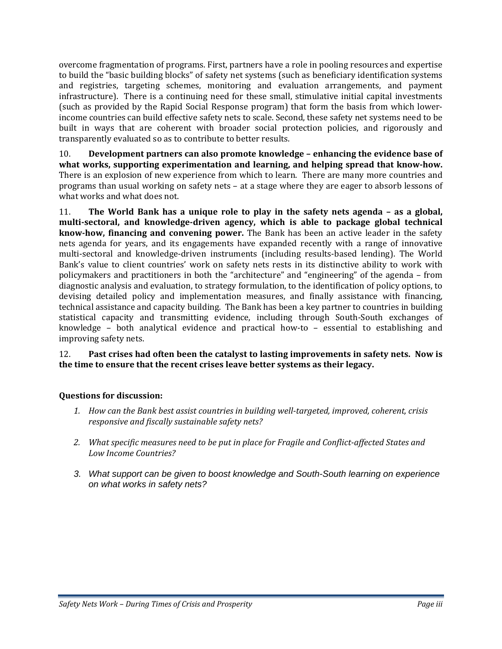overcome fragmentation of programs. First, partners have a role in pooling resources and expertise to build the "basic building blocks" of safety net systems (such as beneficiary identification systems and registries, targeting schemes, monitoring and evaluation arrangements, and payment infrastructure). There is a continuing need for these small, stimulative initial capital investments (such as provided by the Rapid Social Response program) that form the basis from which lower‐ income countries can build effective safety nets to scale. Second, these safety net systems need to be built in ways that are coherent with broader social protection policies, and rigorously and transparently evaluated so as to contribute to better results.

10. **Development partners can also promote knowledge – enhancing the evidence base of what works, supporting experimentation and learning, and helping spread that knowhow.** There is an explosion of new experience from which to learn. There are many more countries and programs than usual working on safety nets – at a stage where they are eager to absorb lessons of what works and what does not.

11. **The World Bank has a unique role to play in the safety nets agenda – as a global, multisectoral, and knowledgedriven agency, which is able to package global technical knowhow, financing and convening power.** The Bank has been an active leader in the safety nets agenda for years, and its engagements have expanded recently with a range of innovative multi‐sectoral and knowledge‐driven instruments (including results‐based lending). The World Bank's value to client countries' work on safety nets rests in its distinctive ability to work with policymakers and practitioners in both the "architecture" and "engineering" of the agenda – from diagnostic analysis and evaluation, to strategy formulation, to the identification of policy options, to devising detailed policy and implementation measures, and finally assistance with financing, technical assistance and capacity building. The Bank has been a key partner to countries in building statistical capacity and transmitting evidence, including through South‐South exchanges of knowledge – both analytical evidence and practical how-to – essential to establishing and improving safety nets.

## 12. **Past crises had often been the catalyst to lasting improvements in safety nets. Now is the time to ensure that the recent crises leave better systems as their legacy.**

# **Questions for discussion:**

- *1. How can the Bank best assist countries in building welltargeted, improved, coherent, crisis responsive and fiscally sustainable safety nets?*
- *2. What specific measures need to be put in place for Fragile and Conflictaffected States and Low Income Countries?*
- *3. What support can be given to boost knowledge and South-South learning on experience on what works in safety nets?*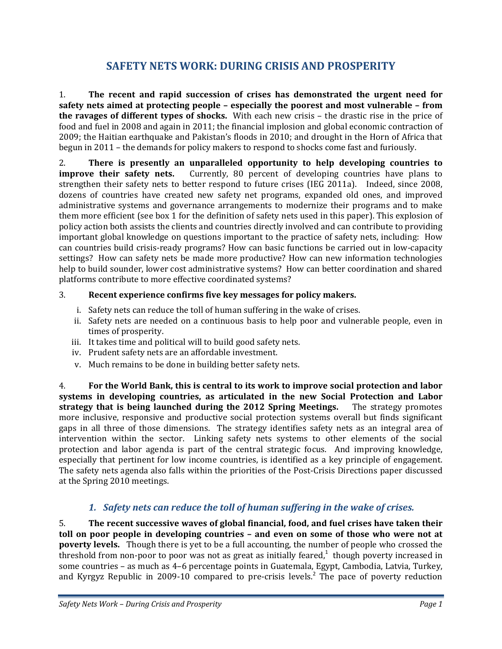# **SAFETY NETS WORK: DURING CRISIS AND PROSPERITY**

1. **The recent and rapid succession of crises has demonstrated the urgent need for safety nets aimed at protecting people – especially the poorest and most vulnerable – from the ravages of different types of shocks.** With each new crisis – the drastic rise in the price of food and fuel in 2008 and again in 2011; the financial implosion and global economic contraction of 2009; the Haitian earthquake and Pakistan's floods in 2010; and drought in the Horn of Africa that begun in 2011 – the demands for policy makers to respond to shocks come fast and furiously.

2. **There is presently an unparalleled opportunity to help developing countries to improve their safety nets.** Currently, 80 percent of developing countries have plans to strengthen their safety nets to better respond to future crises (IEG 2011a).Indeed, since 2008, dozens of countries have created new safety net programs, expanded old ones, and improved administrative systems and governance arrangements to modernize their programs and to make them more efficient (see box 1 for the definition of safety nets used in this paper). This explosion of policy action both assists the clients and countries directly involved and can contribute to providing important global knowledge on questions important to the practice of safety nets, including: How can countries build crisis‐ready programs? How can basic functions be carried out in low‐capacity settings? How can safety nets be made more productive? How can new information technologies help to build sounder, lower cost administrative systems? How can better coordination and shared platforms contribute to more effective coordinated systems?

# 3. **Recent experience confirms five key messages for policy makers.**

- i. Safety nets can reduce the toll of human suffering in the wake of crises.
- ii. Safety nets are needed on a continuous basis to help poor and vulnerable people, even in times of prosperity.
- iii. It takes time and political will to build good safety nets.
- iv. Prudent safety nets are an affordable investment.
- v. Much remains to be done in building better safety nets.

4. **For the World Bank, this is central to its work to improve social protection and labor systems in developing countries, as articulated in the new Social Protection and Labor strategy that is being launched during the 2012 Spring Meetings.**  The strategy promotes more inclusive, responsive and productive social protection systems overall but finds significant gaps in all three of those dimensions. The strategy identifies safety nets as an integral area of intervention within the sector. Linking safety nets systems to other elements of the social protection and labor agenda is part of the central strategic focus. And improving knowledge, especially that pertinent for low income countries, is identified as a key principle of engagement. The safety nets agenda also falls within the priorities of the Post-Crisis Directions paper discussed at the Spring 2010 meetings.

# *1. Safety nets can reduce the toll of human suffering in the wake of crises.*

5. **The recent successive waves of global financial, food, and fuel crises have taken their toll on poor people in developing countries – and even on some of those who were not at poverty levels.** Though there is yet to be a full accounting, the number of people who crossed the threshold from non-poor to poor was not as great as initially feared, $1$  though poverty increased in some countries – as much as 4–6 percentage points in Guatemala, Egypt, Cambodia, Latvia, Turkey, and Kyrgyz Republic in 2009-10 compared to pre-crisis levels.<sup>2</sup> The pace of poverty reduction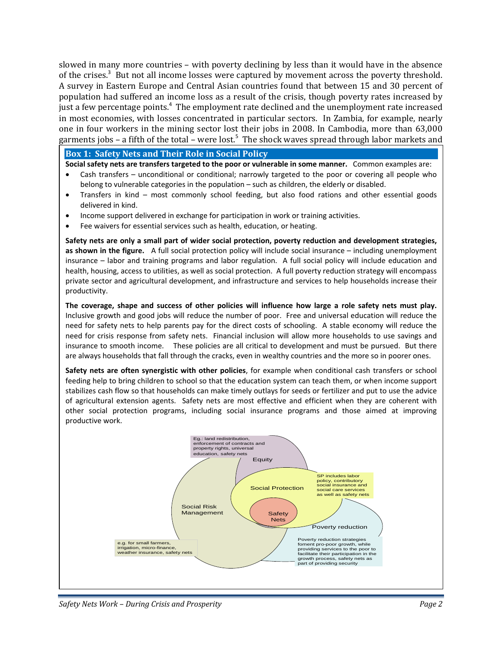slowed in many more countries – with poverty declining by less than it would have in the absence of the crises.<sup>3</sup> But not all income losses were captured by movement across the poverty threshold. A survey in Eastern Europe and Central Asian countries found that between 15 and 30 percent of population had suffered an income loss as a result of the crisis, though poverty rates increased by just a few percentage points.<sup>4</sup> The employment rate declined and the unemployment rate increased in most economies, with losses concentrated in particular sectors. In Zambia, for example, nearly one in four workers in the mining sector lost their jobs in 2008. In Cambodia, more than 63,000 garments jobs - a fifth of the total - were lost.<sup>5</sup> The shock waves spread through labor markets and

#### **Box 1: Safety Nets and Their Role in Social Policy**

**Social safety nets are transfers targeted to the poor or vulnerable in some manner.** Common examples are:

- Cash transfers unconditional or conditional; narrowly targeted to the poor or covering all people who belong to vulnerable categories in the population – such as children, the elderly or disabled.
- Transfers in kind most commonly school feeding, but also food rations and other essential goods delivered in kind.
- Income support delivered in exchange for participation in work or training activities.
- Fee waivers for essential services such as health, education, or heating.

**Safety nets are only a small part of wider social protection, poverty reduction and development strategies, as shown in the figure.** A full social protection policy will include social insurance – including unemployment insurance – labor and training programs and labor regulation. A full social policy will include education and health, housing, access to utilities, as well as social protection. A full poverty reduction strategy will encompass private sector and agricultural development, and infrastructure and services to help households increase their productivity.

The coverage, shape and success of other policies will influence how large a role safety nets must play. Inclusive growth and good jobs will reduce the number of poor. Free and universal education will reduce the need for safety nets to help parents pay for the direct costs of schooling. A stable economy will reduce the need for crisis response from safety nets. Financial inclusion will allow more households to use savings and insurance to smooth income. These policies are all critical to development and must be pursued. But there are always households that fall through the cracks, even in wealthy countries and the more so in poorer ones.

**Safety nets are often synergistic with other policies**, for example when conditional cash transfers or school feeding help to bring children to school so that the education system can teach them, or when income support stabilizes cash flow so that households can make timely outlays for seeds or fertilizer and put to use the advice of agricultural extension agents. Safety nets are most effective and efficient when they are coherent with other social protection programs, including social insurance programs and those aimed at improving productive work.



*Safety Nets Work – During Crisis and Prosperity Page 2*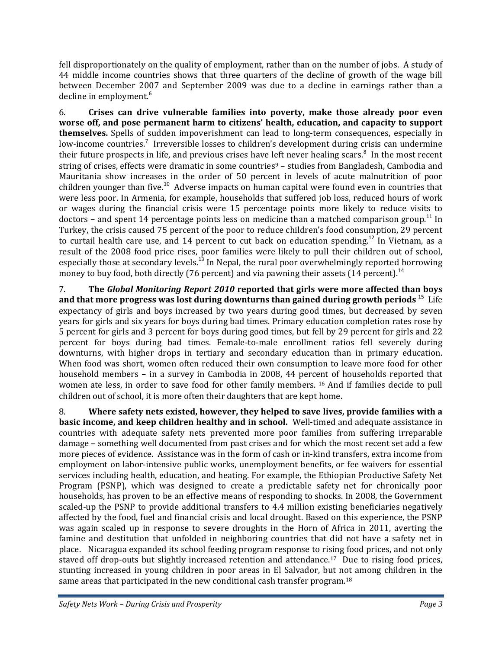fell disproportionately on the quality of employment, rather than on the number of jobs. A study of 44 middle income countries shows that three quarters of the decline of growth of the wage bill between December 2007 and September 2009 was due to a decline in earnings rather than a decline in employment.<sup>6</sup>

6. **Crises can drive vulnerable families into poverty, make those already poor even worse off, and pose permanent harm to citizens' health, education, and capacity to support themselves.** Spells of sudden impoverishment can lead to long-term consequences, especially in low-income countries.<sup>7</sup> Irreversible losses to children's development during crisis can undermine their future prospects in life, and previous crises have left never healing scars. $8\,$  In the most recent string of crises, effects were dramatic in some countries<sup>9</sup> – studies from Bangladesh, Cambodia and Mauritania show increases in the order of 50 percent in levels of acute malnutrition of poor children younger than five.<sup>10</sup> Adverse impacts on human capital were found even in countries that were less poor. In Armenia, for example, households that suffered job loss, reduced hours of work or wages during the financial crisis were 15 percentage points more likely to reduce visits to doctors – and spent 14 percentage points less on medicine than a matched comparison group.<sup>11</sup> In Turkey, the crisis caused 75 percent of the poor to reduce children's food consumption, 29 percent to curtail health care use, and 14 percent to cut back on education spending.<sup>12</sup> In Vietnam, as a result of the 2008 food price rises, poor families were likely to pull their children out of school, especially those at secondary levels.<sup>13</sup> In Nepal, the rural poor overwhelmingly reported borrowing money to buy food, both directly (76 percent) and via pawning their assets (14 percent).<sup>14</sup>

7. **The** *Global Monitoring Report 2010* **reported that girls were more affected than boys and that more progress was lost during downturns than gained during growth periods** <sup>15</sup>Life expectancy of girls and boys increased by two years during good times, but decreased by seven years for girls and six years for boys during bad times. Primary education completion rates rose by 5 percent for girls and 3 percent for boys during good times, but fell by 29 percent for girls and 22 percent for boys during bad times. Female-to-male enrollment ratios fell severely during downturns, with higher drops in tertiary and secondary education than in primary education. When food was short, women often reduced their own consumption to leave more food for other household members - in a survey in Cambodia in 2008, 44 percent of households reported that women ate less, in order to save food for other family members. 16 And if families decide to pull children out of school, it is more often their daughters that are kept home.

8. **Where safety nets existed, however, they helped to save lives, provide families with a basic income, and keep children healthy and in school.** Well‐timed and adequate assistance in countries with adequate safety nets prevented more poor families from suffering irreparable damage – something well documented from past crises and for which the most recent set add a few more pieces of evidence. Assistance was in the form of cash or in‐kind transfers, extra income from employment on labor-intensive public works, unemployment benefits, or fee waivers for essential services including health, education, and heating. For example, the Ethiopian Productive Safety Net Program (PSNP), which was designed to create a predictable safety net for chronically poor households, has proven to be an effective means of responding to shocks. In 2008, the Government scaled-up the PSNP to provide additional transfers to 4.4 million existing beneficiaries negatively affected by the food, fuel and financial crisis and local drought. Based on this experience, the PSNP was again scaled up in response to severe droughts in the Horn of Africa in 2011, averting the famine and destitution that unfolded in neighboring countries that did not have a safety net in place. Nicaragua expanded its school feeding program response to rising food prices, and not only staved off drop-outs but slightly increased retention and attendance.<sup>17</sup> Due to rising food prices, stunting increased in young children in poor areas in El Salvador, but not among children in the same areas that participated in the new conditional cash transfer program.<sup>18</sup>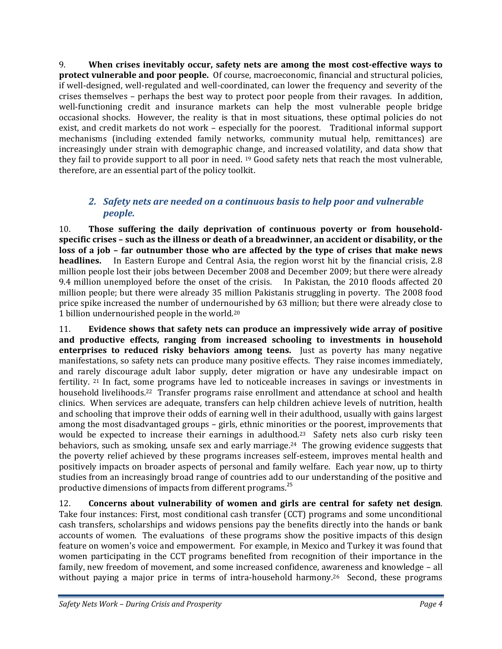9. **When crises inevitably occur, safety nets are among the most costeffective ways to protect vulnerable and poor people.** Of course, macroeconomic, financial and structural policies, if well-designed, well-regulated and well-coordinated, can lower the frequency and severity of the crises themselves – perhaps the best way to protect poor people from their ravages.In addition, well-functioning credit and insurance markets can help the most vulnerable people bridge occasional shocks. However, the reality is that in most situations, these optimal policies do not exist, and credit markets do not work – especially for the poorest. Traditional informal support mechanisms (including extended family networks, community mutual help, remittances) are increasingly under strain with demographic change, and increased volatility, and data show that they fail to provide support to all poor in need. 19 Good safety nets that reach the most vulnerable, therefore, are an essential part of the policy toolkit.

# *2. Safety nets are needed on a continuous basis to help poor and vulnerable people.*

10. **Those suffering the daily deprivation of continuous poverty or from householdspecific crises – such as the illness or death of a breadwinner, an accident or disability, or the loss of a job – far outnumber those who are affected by the type of crises that make news headlines.** In Eastern Europe and Central Asia, the region worst hit by the financial crisis, 2.8 million people lost their jobs between December 2008 and December 2009; but there were already 9.4 million unemployed before the onset of the crisis. In Pakistan, the 2010 floods affected 20 million people; but there were already 35 million Pakistanis struggling in poverty. The 2008 food price spike increased the number of undernourished by 63 million; but there were already close to 1 billion undernourished people in the world.20

11. **Evidence shows that safety nets can produce an impressively wide array of positive and productive effects, ranging from increased schooling to investments in household enterprises to reduced risky behaviors among teens.** Just as poverty has many negative manifestations, so safety nets can produce many positive effects. They raise incomes immediately, and rarely discourage adult labor supply, deter migration or have any undesirable impact on fertility. <sup>21</sup> In fact, some programs have led to noticeable increases in savings or investments in household livelihoods.<sup>22</sup> Transfer programs raise enrollment and attendance at school and health clinics. When services are adequate, transfers can help children achieve levels of nutrition, health and schooling that improve their odds of earning well in their adulthood, usually with gains largest among the most disadvantaged groups – girls, ethnic minorities or the poorest, improvements that would be expected to increase their earnings in adulthood.<sup>23</sup> Safety nets also curb risky teen behaviors, such as smoking, unsafe sex and early marriage.<sup>24</sup> The growing evidence suggests that the poverty relief achieved by these programs increases self‐esteem, improves mental health and positively impacts on broader aspects of personal and family welfare. Each year now, up to thirty studies from an increasingly broad range of countries add to our understanding of the positive and productive dimensions of impacts from different programs.<sup>25</sup>

12. **Concerns about vulnerability of women and girls are central for safety net design**. Take four instances: First, most conditional cash transfer (CCT) programs and some unconditional cash transfers, scholarships and widows pensions pay the benefits directly into the hands or bank accounts of women. The evaluations of these programs show the positive impacts of this design feature on women's voice and empowerment. For example, in Mexico and Turkey it was found that women participating in the CCT programs benefited from recognition of their importance in the family, new freedom of movement, and some increased confidence, awareness and knowledge – all without paying a major price in terms of intra-household harmony.<sup>26</sup> Second, these programs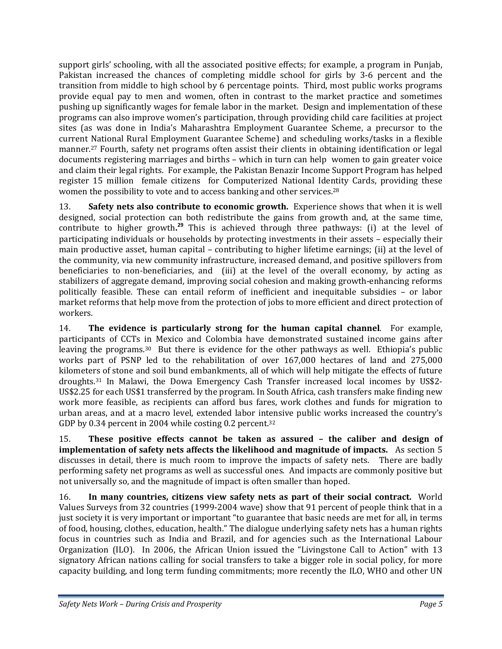support girls' schooling, with all the associated positive effects; for example, a program in Punjab, Pakistan increased the chances of completing middle school for girls by 3‐6 percent and the transition from middle to high school by 6 percentage points. Third, most public works programs provide equal pay to men and women, often in contrast to the market practice and sometimes pushing up significantly wages for female labor in the market. Design and implementation of these programs can also improve women's participation, through providing child care facilities at project sites (as was done in India's Maharashtra Employment Guarantee Scheme, a precursor to the current National Rural Employment Guarantee Scheme) and scheduling works/tasks in a flexible manner.27 Fourth, safety net programs often assist their clients in obtaining identification or legal documents registering marriages and births – which in turn can help women to gain greater voice and claim their legal rights. For example, the Pakistan Benazir Income Support Program has helped register 15 million female citizens for Computerized National Identity Cards, providing these women the possibility to vote and to access banking and other services.28

13. **Safety nets also contribute to economic growth.** Experience shows that when it is well designed, social protection can both redistribute the gains from growth and, at the same time, contribute to higher growth**. <sup>29</sup>** This is achieved through three pathways: (i) at the level of participating individuals or households by protecting investments in their assets – especially their main productive asset, human capital – contributing to higher lifetime earnings; (ii) at the level of the community, via new community infrastructure, increased demand, and positive spillovers from beneficiaries to non-beneficiaries, and (iii) at the level of the overall economy, by acting as stabilizers of aggregate demand, improving social cohesion and making growth‐enhancing reforms politically feasible. These can entail reform of inefficient and inequitable subsidies – or labor market reforms that help move from the protection of jobs to more efficient and direct protection of workers.

14. **The evidence is particularly strong for the human capital channel**. For example, participants of CCTs in Mexico and Colombia have demonstrated sustained income gains after leaving the programs.<sup>30</sup> But there is evidence for the other pathways as well. Ethiopia's public works part of PSNP led to the rehabilitation of over 167,000 hectares of land and 275,000 kilometers of stone and soil bund embankments, all of which will help mitigate the effects of future droughts.31 In Malawi, the Dowa Emergency Cash Transfer increased local incomes by US\$2‐ US\$2.25 for each US\$1 transferred by the program. In South Africa, cash transfers make finding new work more feasible, as recipients can afford bus fares, work clothes and funds for migration to urban areas, and at a macro level, extended labor intensive public works increased the country's GDP by 0.34 percent in 2004 while costing 0.2 percent.<sup>32</sup>

15. **These positive effects cannot be taken as assured – the caliber and design of implementation of safety nets affects the likelihood and magnitude of impacts.**  As section 5 discusses in detail, there is much room to improve the impacts of safety nets. There are badly performing safety net programs as well as successful ones. And impacts are commonly positive but not universally so, and the magnitude of impact is often smaller than hoped.

16. **In many countries, citizens view safety nets as part of their social contract.** World Values Surveys from 32 countries (1999‐2004 wave) show that 91 percent of people think that in a just society it is very important or important "to guarantee that basic needs are met for all, in terms of food, housing, clothes, education, health." The dialogue underlying safety nets has a human rights focus in countries such as India and Brazil, and for agencies such as the International Labour Organization (ILO). In 2006, the African Union issued the "Livingstone Call to Action" with 13 signatory African nations calling for social transfers to take a bigger role in social policy, for more capacity building, and long term funding commitments; more recently the ILO, WHO and other UN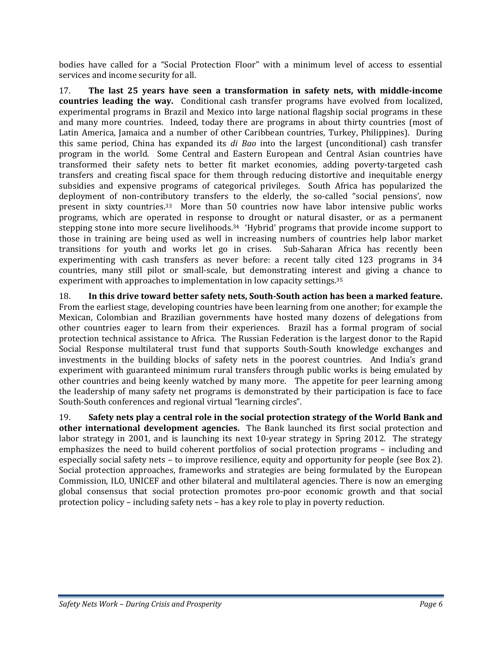bodies have called for a "Social Protection Floor" with a minimum level of access to essential services and income security for all.

17. **The last 25 years have seen a transformation in safety nets, with middleincome countries leading the way.** Conditional cash transfer programs have evolved from localized, experimental programs in Brazil and Mexico into large national flagship social programs in these and many more countries. Indeed, today there are programs in about thirty countries (most of Latin America, Jamaica and a number of other Caribbean countries, Turkey, Philippines). During this same period, China has expanded its *di Bao* into the largest (unconditional) cash transfer program in the world. Some Central and Eastern European and Central Asian countries have transformed their safety nets to better fit market economies, adding poverty-targeted cash transfers and creating fiscal space for them through reducing distortive and inequitable energy subsidies and expensive programs of categorical privileges. South Africa has popularized the deployment of non-contributory transfers to the elderly, the so-called "social pensions', now present in sixty countries.<sup>33</sup> More than 50 countries now have labor intensive public works programs, which are operated in response to drought or natural disaster, or as a permanent stepping stone into more secure livelihoods.<sup>34</sup> 'Hybrid' programs that provide income support to those in training are being used as well in increasing numbers of countries help labor market transitions for youth and works let go in crises. Sub‐Saharan Africa has recently been experimenting with cash transfers as never before: a recent tally cited 123 programs in 34 countries, many still pilot or small‐scale, but demonstrating interest and giving a chance to experiment with approaches to implementation in low capacity settings.<sup>35</sup>

18. **In this drive toward better safety nets, SouthSouth action has been a marked feature.** From the earliest stage, developing countries have been learning from one another; for example the Mexican, Colombian and Brazilian governments have hosted many dozens of delegations from other countries eager to learn from their experiences. Brazil has a formal program of social protection technical assistance to Africa. The Russian Federation is the largest donor to the Rapid Social Response multilateral trust fund that supports South‐South knowledge exchanges and investments in the building blocks of safety nets in the poorest countries. And India's grand experiment with guaranteed minimum rural transfers through public works is being emulated by other countries and being keenly watched by many more. The appetite for peer learning among the leadership of many safety net programs is demonstrated by their participation is face to face South‐South conferences and regional virtual "learning circles".

19. **Safety nets play a central role in the social protection strategy of the World Bank and other international development agencies.** The Bank launched its first social protection and labor strategy in 2001, and is launching its next 10-year strategy in Spring 2012. The strategy emphasizes the need to build coherent portfolios of social protection programs – including and especially social safety nets – to improve resilience, equity and opportunity for people (see Box 2). Social protection approaches, frameworks and strategies are being formulated by the European Commission, ILO, UNICEF and other bilateral and multilateral agencies. There is now an emerging global consensus that social protection promotes pro‐poor economic growth and that social protection policy – including safety nets – has a key role to play in poverty reduction.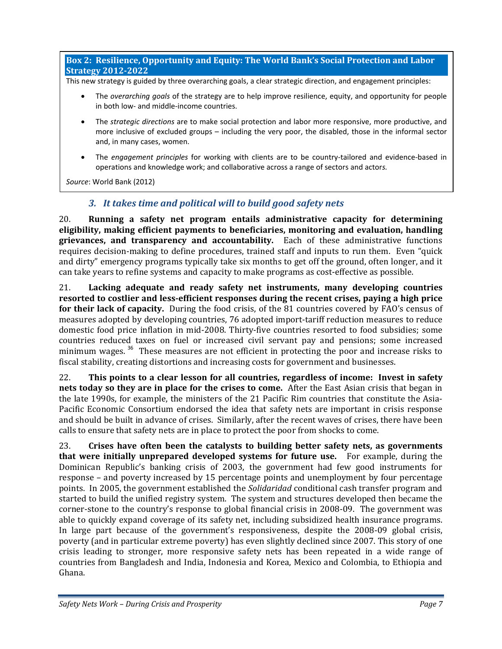**Box 2: Resilience, Opportunity and Equity: The World Bank's Social Protection and Labor Strategy 20122022**

This new strategy is guided by three overarching goals, a clear strategic direction, and engagement principles:

- The *overarching goals* of the strategy are to help improve resilience, equity, and opportunity for people in both low‐ and middle‐income countries.
- The *strategic directions* are to make social protection and labor more responsive, more productive, and more inclusive of excluded groups – including the very poor, the disabled, those in the informal sector and, in many cases, women.
- The *engagement principles* for working with clients are to be country-tailored and evidence-based in operations and knowledge work; and collaborative across a range of sectors and actor*s.*

*Source*: World Bank (2012)

# *3. It takes time and political will to build good safety nets*

20. **Running a safety net program entails administrative capacity for determining eligibility, making efficient payments to beneficiaries, monitoring and evaluation, handling grievances, and transparency and accountability.** Each of these administrative functions requires decision-making to define procedures, trained staff and inputs to run them. Even "quick" and dirty" emergency programs typically take six months to get off the ground, often longer, and it can take years to refine systems and capacity to make programs as cost‐effective as possible.

21. **Lacking adequate and ready safety net instruments, many developing countries resorted to costlier and lessefficient responses during the recent crises, paying a high price for their lack of capacity.** During the food crisis, of the 81 countries covered by FAO's census of measures adopted by developing countries, 76 adopted import-tariff reduction measures to reduce domestic food price inflation in mid‐2008. Thirty‐five countries resorted to food subsidies; some countries reduced taxes on fuel or increased civil servant pay and pensions; some increased minimum wages.<sup>36</sup> These measures are not efficient in protecting the poor and increase risks to fiscal stability, creating distortions and increasing costs for government and businesses.

22. **This points to a clear lesson for all countries, regardless of income: Invest in safety nets today so they are in place for the crises to come.** After the East Asian crisis that began in the late 1990s, for example, the ministers of the 21 Pacific Rim countries that constitute the Asia‐ Pacific Economic Consortium endorsed the idea that safety nets are important in crisis response and should be built in advance of crises. Similarly, after the recent waves of crises, there have been calls to ensure that safety nets are in place to protect the poor from shocks to come.

23. **Crises have often been the catalysts to building better safety nets, as governments that were initially unprepared developed systems for future use.**  For example, during the Dominican Republic's banking crisis of 2003, the government had few good instruments for response – and poverty increased by 15 percentage points and unemployment by four percentage points. In 2005, the government established the *Solidaridad* conditional cash transfer program and started to build the unified registry system. The system and structures developed then became the corner-stone to the country's response to global financial crisis in 2008-09. The government was able to quickly expand coverage of its safety net, including subsidized health insurance programs. In large part because of the government's responsiveness, despite the 2008-09 global crisis, poverty (and in particular extreme poverty) has even slightly declined since 2007. This story of one crisis leading to stronger, more responsive safety nets has been repeated in a wide range of countries from Bangladesh and India, Indonesia and Korea, Mexico and Colombia, to Ethiopia and Ghana.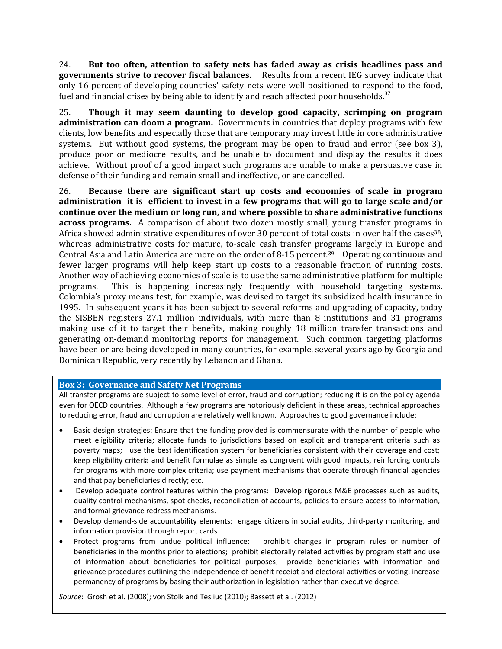24. **But too often, attention to safety nets has faded away as crisis headlines pass and governments strive to recover fiscal balances.** Results from a recent IEG survey indicate that only 16 percent of developing countries' safety nets were well positioned to respond to the food, fuel and financial crises by being able to identify and reach affected poor households.<sup>37</sup>

25. **Though it may seem daunting to develop good capacity, scrimping on program administration can doom a program.** Governments in countries that deploy programs with few clients, low benefits and especially those that are temporary may invest little in core administrative systems. But without good systems, the program may be open to fraud and error (see box 3), produce poor or mediocre results, and be unable to document and display the results it does achieve. Without proof of a good impact such programs are unable to make a persuasive case in defense of their funding and remain small and ineffective, or are cancelled.

26. **Because there are significant start up costs and economies of scale in program** administration it is efficient to invest in a few programs that will go to large scale and/or **continue over the medium or long run, and where possible to share administrative functions across programs.** A comparison of about two dozen mostly small, young transfer programs in Africa showed administrative expenditures of over 30 percent of total costs in over half the cases<sup>38</sup>, whereas administrative costs for mature, to-scale cash transfer programs largely in Europe and Central Asia and Latin America are more on the order of 8-15 percent.<sup>39</sup> Operating continuous and fewer larger programs will help keep start up costs to a reasonable fraction of running costs. Another way of achieving economies of scale is to use the same administrative platform for multiple programs. This is happening increasingly frequently with household targeting systems. Colombia's proxy means test, for example, was devised to target its subsidized health insurance in 1995. In subsequent years it has been subject to several reforms and upgrading of capacity, today the SISBEN registers 27.1 million individuals, with more than 8 institutions and 31 programs making use of it to target their benefits, making roughly 18 million transfer transactions and generating on-demand monitoring reports for management. Such common targeting platforms have been or are being developed in many countries, for example, several years ago by Georgia and Dominican Republic, very recently by Lebanon and Ghana.

### **Box 3: Governance and Safety Net Programs**

All transfer programs are subject to some level of error, fraud and corruption; reducing it is on the policy agenda even for OECD countries. Although a few programs are notoriously deficient in these areas, technical approaches to reducing error, fraud and corruption are relatively well known. Approaches to good governance include:

- Basic design strategies: Ensure that the funding provided is commensurate with the number of people who meet eligibility criteria; allocate funds to jurisdictions based on explicit and transparent criteria such as poverty maps; use the best identification system for beneficiaries consistent with their coverage and cost; keep eligibility criteria and benefit formulae as simple as congruent with good impacts, reinforcing controls for programs with more complex criteria; use payment mechanisms that operate through financial agencies and that pay beneficiaries directly; etc.
- Develop adequate control features within the programs: Develop rigorous M&E processes such as audits, quality control mechanisms, spot checks, reconciliation of accounts, policies to ensure access to information, and formal grievance redress mechanisms.
- Develop demand-side accountability elements: engage citizens in social audits, third-party monitoring, and information provision through report cards
- Protect programs from undue political influence: prohibit changes in program rules or number of beneficiaries in the months prior to elections; prohibit electorally related activities by program staff and use of information about beneficiaries for political purposes; provide beneficiaries with information and grievance procedures outlining the independence of benefit receipt and electoral activities or voting; increase permanency of programs by basing their authorization in legislation rather than executive degree.

*Safety Nets Work – During Crisis and Prosperity Page 8 Source*: Grosh et al. (2008); von Stolk and Tesliuc (2010); Bassett et al. (2012)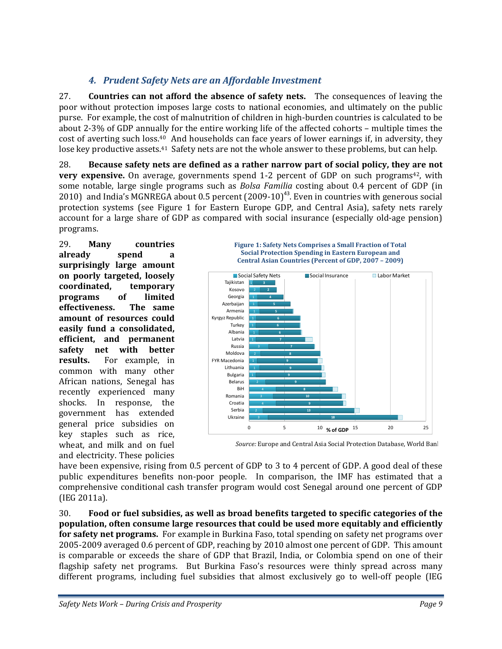# *4. Prudent Safety Nets are an Affordable Investment*

27. **Countries can not afford the absence of safety nets.** The consequences of leaving the poor without protection imposes large costs to national economies, and ultimately on the public purse. For example, the cost of malnutrition of children in high‐burden countries is calculated to be about 2‐3% of GDP annually for the entire working life of the affected cohorts – multiple times the cost of averting such loss.40 And households can face years of lower earnings if, in adversity, they lose key productive assets.<sup>41</sup> Safety nets are not the whole answer to these problems, but can help.

28. **Because safety nets are defined as a rather narrow part of social policy, they are not very expensive.** On average, governments spend 1-2 percent of GDP on such programs<sup>42</sup>, with some notable, large single programs such as *Bolsa Familia* costing about 0.4 percent of GDP (in 2010) and India's MGNREGA about 0.5 percent  $(2009-10)^{43}$ . Even in countries with generous social protection systems (see Figure 1 for Eastern Europe GDP, and Central Asia), safety nets rarely account for a large share of GDP as compared with social insurance (especially old-age pension) programs.

29. **Many countries already spend a surprisingly large amount on poorly targeted, loosely coordinated, temporary programs of limited effectiveness. The same amount of resources could easily fund a consolidated, efficient, and permanent safety net with better results.** For example, in common with many other African nations, Senegal has recently experienced many shocks. In response, the government has extended general price subsidies on key staples such as rice, wheat, and milk and on fuel and electricity. These policies





*Source:* Europe and Central Asia Social Protection Database, World Bank

have been expensive, rising from 0.5 percent of GDP to 3 to 4 percent of GDP. A good deal of these public expenditures benefits non‐poor people. In comparison, the IMF has estimated that a comprehensive conditional cash transfer program would cost Senegal around one percent of GDP (IEG 2011a).

30. **Food or fuel subsidies, as well as broad benefits targeted to specific categories of the population, often consume large resources that could be used more equitably and efficiently for safety net programs.** For example in Burkina Faso, total spending on safety net programs over 2005‐2009 averaged 0.6 percent of GDP, reaching by 2010 almost one percent of GDP. This amount is comparable or exceeds the share of GDP that Brazil, India, or Colombia spend on one of their flagship safety net programs. But Burkina Faso's resources were thinly spread across many different programs, including fuel subsidies that almost exclusively go to well-off people (IEG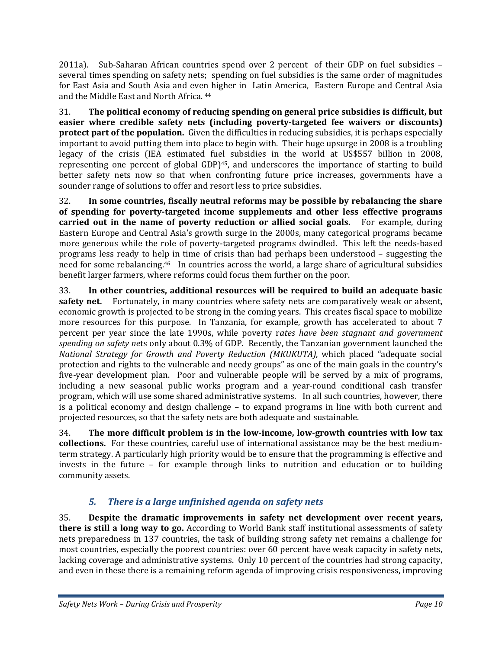2011a). Sub-Saharan African countries spend over 2 percent of their GDP on fuel subsidies – several times spending on safety nets; spending on fuel subsidies is the same order of magnitudes for East Asia and South Asia and even higher in Latin America, Eastern Europe and Central Asia and the Middle East and North Africa. 44

31. **The political economy of reducing spending on general price subsidies is difficult, but easier where credible safety nets (including povertytargeted fee waivers or discounts) protect part of the population.** Given the difficulties in reducing subsidies, it is perhaps especially important to avoid putting them into place to begin with. Their huge upsurge in 2008 is a troubling legacy of the crisis (IEA estimated fuel subsidies in the world at US\$557 billion in 2008, representing one percent of global GDP)<sup>45</sup>, and underscores the importance of starting to build better safety nets now so that when confronting future price increases, governments have a sounder range of solutions to offer and resort less to price subsidies.

32. **In some countries, fiscally neutral reforms may be possible by rebalancing the share of spending for povertytargeted income supplements and other less effective programs carried out in the name of poverty reduction or allied social goals.**  For example, during Eastern Europe and Central Asia's growth surge in the 2000s, many categorical programs became more generous while the role of poverty-targeted programs dwindled. This left the needs-based programs less ready to help in time of crisis than had perhaps been understood – suggesting the need for some rebalancing.46 In countries across the world, a large share of agricultural subsidies benefit larger farmers, where reforms could focus them further on the poor.

33. **In other countries, additional resources will be required to build an adequate basic safety net.** Fortunately, in many countries where safety nets are comparatively weak or absent, economic growth is projected to be strong in the coming years. This creates fiscal space to mobilize more resources for this purpose. In Tanzania, for example, growth has accelerated to about 7 percent per year since the late 1990s, while poverty r*ates have been stagnant and government spending on safety ne*ts only about 0.3% of GDP. Recently, the Tanzanian government launched the *National Strategy for Growth and Poverty Reduction (MKUKUTA)*, which placed "adequate social protection and rights to the vulnerable and needy groups" as one of the main goals in the country's five-year development plan. Poor and vulnerable people will be served by a mix of programs, including a new seasonal public works program and a year-round conditional cash transfer program, which will use some shared administrative systems. In all such countries, however, there is a political economy and design challenge – to expand programs in line with both current and projected resources, so that the safety nets are both adequate and sustainable.

34. **The more difficult problem is in the lowincome, lowgrowth countries with low tax collections.** For these countries, careful use of international assistance may be the best medium‐ term strategy. A particularly high priority would be to ensure that the programming is effective and invests in the future – for example through links to nutrition and education or to building community assets.

# *5. There is a large unfinished agenda on safety nets*

35. **Despite the dramatic improvements in safety net development over recent years, there is still a long way to go.** According to World Bank staff institutional assessments of safety nets preparedness in 137 countries, the task of building strong safety net remains a challenge for most countries, especially the poorest countries: over 60 percent have weak capacity in safety nets, lacking coverage and administrative systems. Only 10 percent of the countries had strong capacity, and even in these there is a remaining reform agenda of improving crisis responsiveness, improving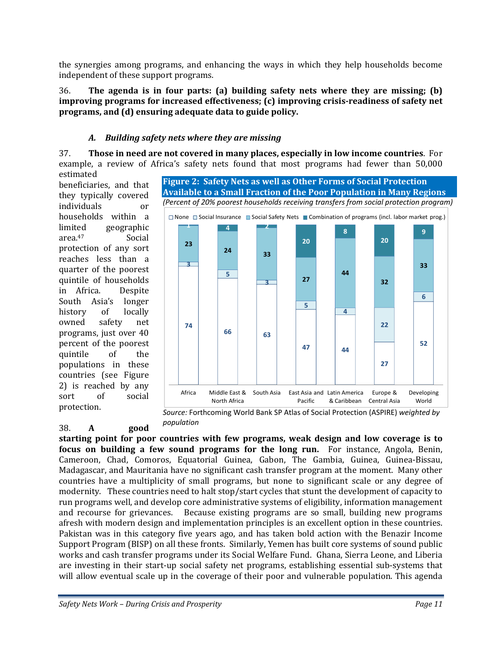the synergies among programs, and enhancing the ways in which they help households become independent of these support programs.

36. **The agenda is in four parts: (a) building safety nets where they are missing; (b) improving programs for increased effectiveness; (c) improving crisisreadiness of safety net programs, and (d) ensuring adequate data to guide policy.** 

## *A. Building safety nets where they are missing*

37. **Those in need are not covered in many places, especially in low income countries**. For example, a review of Africa's safety nets found that most programs had fewer than 50,000 estimated

beneficiaries, and that they typically covered individuals or households within a limited geographic area.<sup>47</sup> Social protection of any sort reaches less than a quarter of the poorest quintile of households in Africa. Despite South Asia's longer history of locally owned safety net programs, just over 40 percent of the poorest quintile of the populations in these countries (see Figure 2) is reached by any sort of social protection.

38. **A good**

*(Percent of 20% poorest households receiving transfers from social protection program)* **74 66 63 47 44 27 52 3 5 3 5 4 22 6 23 <sup>24</sup> <sup>33</sup> 27 44 32 33 1 4 2 20 8 20 9** Africa Middle East & South Asia East Asia and East Asia and Latin America Europe & Developing □ None ■ Social Insurance ■ Social Safety Nets ■ Combination of programs (incl. labor market prog.)

**Figure 2: Safety Nets as well as Other Forms of Social Protection Available to a Small Fraction of the Poor Population in Many Regions**

*Source:* Forthcoming World Bank SP Atlas of Social Protection (ASPIRE) *weighted by population*

Pacific

& Caribbean Central Asia

**starting point for poor countries with few programs, weak design and low coverage is to focus on building a few sound programs for the long run.**  For instance, Angola, Benin, Cameroon, Chad, Comoros, Equatorial Guinea, Gabon, The Gambia, Guinea, Guinea‐Bissau, Madagascar, and Mauritania have no significant cash transfer program at the moment. Many other countries have a multiplicity of small programs, but none to significant scale or any degree of modernity. These countries need to halt stop/start cycles that stunt the development of capacity to run programs well, and develop core administrative systems of eligibility, information management and recourse for grievances. Because existing programs are so small, building new programs afresh with modern design and implementation principles is an excellent option in these countries. Pakistan was in this category five years ago, and has taken bold action with the Benazir Income Support Program (BISP) on all these fronts. Similarly, Yemen has built core systems of sound public works and cash transfer programs under its Social Welfare Fund. Ghana, Sierra Leone, and Liberia are investing in their start-up social safety net programs, establishing essential sub-systems that will allow eventual scale up in the coverage of their poor and vulnerable population. This agenda

North Africa

World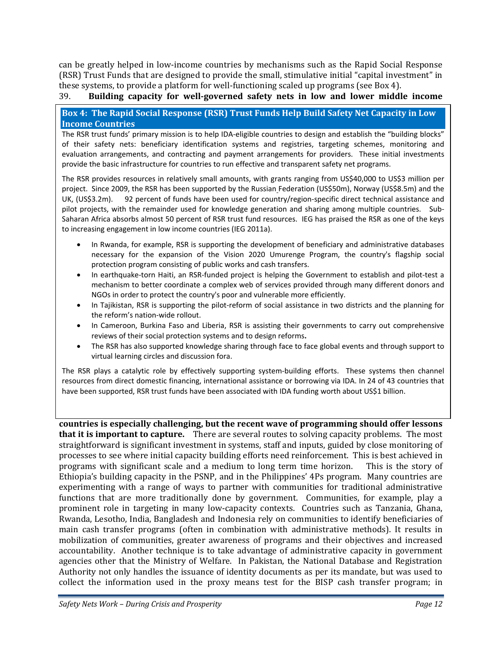can be greatly helped in low‐income countries by mechanisms such as the Rapid Social Response (RSR) Trust Funds that are designed to provide the small, stimulative initial "capital investment" in these systems, to provide a platform for well‐functioning scaled up programs (see Box 4).

39. **Building capacity for wellgoverned safety nets in low and lower middle income**

**Box 4: The Rapid Social Response (RSR) Trust Funds Help Build Safety Net Capacity in Low Income Countries**

The RSR trust funds' primary mission is to help IDA‐eligible countries to design and establish the "building blocks" of their safety nets: beneficiary identification systems and registries, targeting schemes, monitoring and evaluation arrangements, and contracting and payment arrangements for providers. These initial investments provide the basic infrastructure for countries to run effective and transparent safety net programs.

The RSR provides resources in relatively small amounts, with grants ranging from US\$40,000 to US\$3 million per project. Since 2009, the RSR has been supported by the Russian Federation (US\$50m), Norway (US\$8.5m) and the UK, (US\$3.2m). 92 percent of funds have been used for country/region-specific direct technical assistance and pilot projects, with the remainder used for knowledge generation and sharing among multiple countries. Sub-Saharan Africa absorbs almost 50 percent of RSR trust fund resources. IEG has praised the RSR as one of the keys to increasing engagement in low income countries (IEG 2011a).

- In Rwanda, for example, RSR is supporting the development of beneficiary and administrative databases necessary for the expansion of the Vision 2020 Umurenge Program, the country's flagship social protection program consisting of public works and cash transfers.
- In earthquake-torn Haiti, an RSR-funded project is helping the Government to establish and pilot-test a mechanism to better coordinate a complex web of services provided through many different donors and NGOs in order to protect the country's poor and vulnerable more efficiently.
- In Tajikistan, RSR is supporting the pilot-reform of social assistance in two districts and the planning for the reform's nation‐wide rollout.
- In Cameroon, Burkina Faso and Liberia, RSR is assisting their governments to carry out comprehensive reviews of their social protection systems and to design reforms**.**
- The RSR has also supported knowledge sharing through face to face global events and through support to virtual learning circles and discussion fora.

The RSR plays a catalytic role by effectively supporting system-building efforts. These systems then channel resources from direct domestic financing, international assistance or borrowing via IDA. In 24 of 43 countries that have been supported, RSR trust funds have been associated with IDA funding worth about US\$1 billion.

**countries is especially challenging, but the recent wave of programming should offer lessons that it is important to capture.** There are several routes to solving capacity problems. The most straightforward is significant investment in systems, staff and inputs, guided by close monitoring of processes to see where initial capacity building efforts need reinforcement. This is best achieved in programs with significant scale and a medium to long term time horizon. This is the story of Ethiopia's building capacity in the PSNP, and in the Philippines' 4Ps program. Many countries are experimenting with a range of ways to partner with communities for traditional administrative functions that are more traditionally done by government. Communities, for example, play a prominent role in targeting in many low-capacity contexts. Countries such as Tanzania, Ghana, Rwanda, Lesotho, India, Bangladesh and Indonesia rely on communities to identify beneficiaries of main cash transfer programs (often in combination with administrative methods). It results in mobilization of communities, greater awareness of programs and their objectives and increased accountability. Another technique is to take advantage of administrative capacity in government agencies other that the Ministry of Welfare. In Pakistan, the National Database and Registration Authority not only handles the issuance of identity documents as per its mandate, but was used to collect the information used in the proxy means test for the BISP cash transfer program; in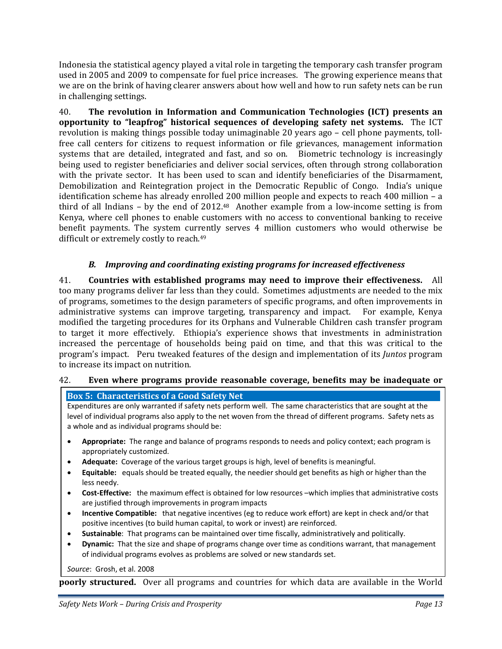Indonesia the statistical agency played a vital role in targeting the temporary cash transfer program used in 2005 and 2009 to compensate for fuel price increases. The growing experience means that we are on the brink of having clearer answers about how well and how to run safety nets can be run in challenging settings.

40. **The revolution in Information and Communication Technologies (ICT) presents an opportunity to "leapfrog" historical sequences of developing safety net systems.**  The ICT revolution is making things possible today unimaginable 20 years ago – cell phone payments, toll‐ free call centers for citizens to request information or file grievances, management information systems that are detailed, integrated and fast, and so on. Biometric technology is increasingly being used to register beneficiaries and deliver social services, often through strong collaboration with the private sector. It has been used to scan and identify beneficiaries of the Disarmament, Demobilization and Reintegration project in the Democratic Republic of Congo. India's unique identification scheme has already enrolled 200 million people and expects to reach 400 million – a third of all Indians – by the end of  $2012<sup>48</sup>$  Another example from a low-income setting is from Kenya, where cell phones to enable customers with no access to conventional banking to receive benefit payments. The system currently serves 4 million customers who would otherwise be difficult or extremely costly to reach.49

## *B. Improving and coordinating existing programs for increased effectiveness*

41. **Countries with established programs may need to improve their effectiveness.**  All too many programs deliver far less than they could. Sometimes adjustments are needed to the mix of programs, sometimes to the design parameters of specific programs, and often improvements in administrative systems can improve targeting, transparency and impact. For example, Kenya modified the targeting procedures for its Orphans and Vulnerable Children cash transfer program to target it more effectively. Ethiopia's experience shows that investments in administration increased the percentage of households being paid on time, and that this was critical to the program's impact. Peru tweaked features of the design and implementation of its *Juntos* program to increase its impact on nutrition.

## 42. **Even where programs provide reasonable coverage, benefits may be inadequate or**

#### **Box 5: Characteristics of a Good Safety Net**

Expenditures are only warranted if safety nets perform well. The same characteristics that are sought at the level of individual programs also apply to the net woven from the thread of different programs. Safety nets as a whole and as individual programs should be:

- **Appropriate:** The range and balance of programs responds to needs and policy context; each program is appropriately customized.
- **Adequate:** Coverage of the various target groups is high, level of benefits is meaningful.
- Equitable: equals should be treated equally, the needier should get benefits as high or higher than the less needy.
- **Cost‐Effective:** the maximum effect is obtained for low resources –which implies that administrative costs are justified through improvements in program impacts
- **Incentive Compatible:** that negative incentives (eg to reduce work effort) are kept in check and/or that positive incentives (to build human capital, to work or invest) are reinforced.
- **Sustainable**: That programs can be maintained over time fiscally, administratively and politically.
- **Dynamic:** That the size and shape of programs change over time as conditions warrant, that management of individual programs evolves as problems are solved or new standards set.

*Source*: Grosh, et al. 2008

**poorly structured.** Over all programs and countries for which data are available in the World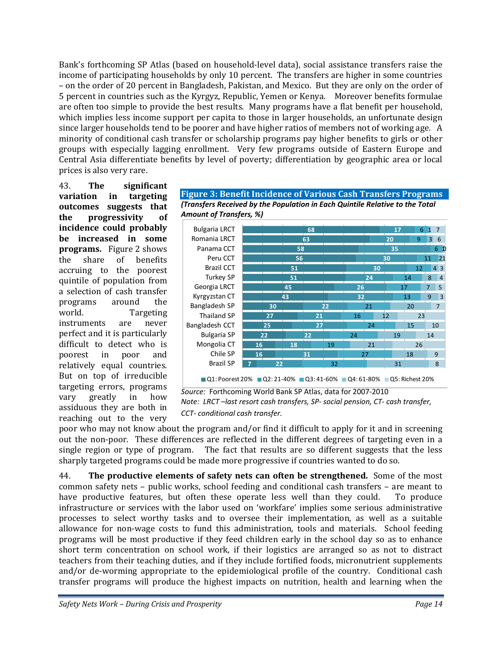Bank's forthcoming SP Atlas (based on household-level data), social assistance transfers raise the income of participating households by only 10 percent. The transfers are higher in some countries – on the order of 20 percent in Bangladesh, Pakistan, and Mexico. But they are only on the order of 5 percent in countries such as the Kyrgyz, Republic, Yemen or Kenya. Moreover benefits formulae are often too simple to provide the best results. Many programs have a flat benefit per household, which implies less income support per capita to those in larger households, an unfortunate design since larger households tend to be poorer and have higher ratios of members not of working age. A minority of conditional cash transfer or scholarship programs pay higher benefits to girls or other groups with especially lagging enrollment. Very few programs outside of Eastern Europe and Central Asia differentiate benefits by level of poverty; differentiation by geographic area or local prices is also very rare.

43. **The significant variation in targeting outcomes suggests that the progressivity of incidence could probably be increased in some programs.** Figure 2 shows the share of benefits accruing to the poorest quintile of population from a selection of cash transfer programs around the world. Targeting instruments are never perfect and it is particularly difficult to detect who is poorest in poor and relatively equal countries. But on top of irreducible targeting errors, programs vary greatly in how assiduous they are both in reaching out to the very





*Source:* Forthcoming World Bank SP Atlas, data for 2007‐2010 *Note: LRCT –last resort cash transfers, SP‐ social pension, CT‐ cash transfer, CCT‐ conditional cash transfer.*

poor who may not know about the program and/or find it difficult to apply for it and in screening out the non-poor. These differences are reflected in the different degrees of targeting even in a single region or type of program. The fact that results are so different suggests that the less sharply targeted programs could be made more progressive if countries wanted to do so.

44. **The productive elements of safety nets can often be strengthened.** Some of the most common safety nets – public works, school feeding and conditional cash transfers – are meant to have productive features, but often these operate less well than they could. To produce infrastructure or services with the labor used on 'workfare' implies some serious administrative processes to select worthy tasks and to oversee their implementation, as well as a suitable allowance for non‐wage costs to fund this administration, tools and materials. School feeding programs will be most productive if they feed children early in the school day so as to enhance short term concentration on school work, if their logistics are arranged so as not to distract teachers from their teaching duties, and if they include fortified foods, micronutrient supplements and/or de-worming appropriate to the epidemiological profile of the country. Conditional cash transfer programs will produce the highest impacts on nutrition, health and learning when the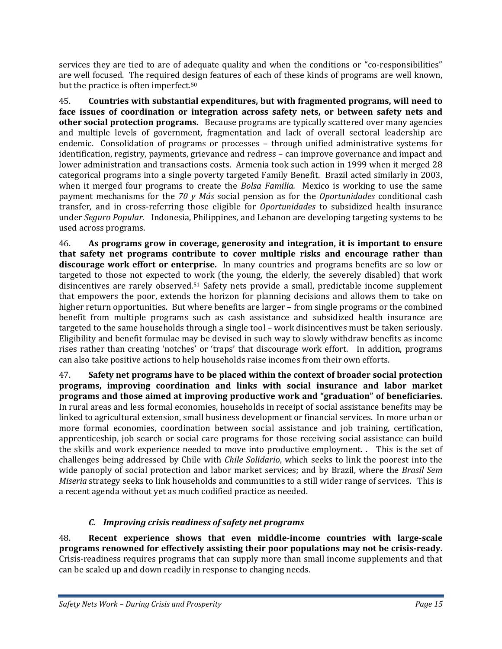services they are tied to are of adequate quality and when the conditions or "co-responsibilities" are well focused. The required design features of each of these kinds of programs are well known, but the practice is often imperfect.50

45. **Countries with substantial expenditures, but with fragmented programs, will need to face issues of coordination or integration across safety nets, or between safety nets and other social protection programs.** Because programs are typically scattered over many agencies and multiple levels of government, fragmentation and lack of overall sectoral leadership are endemic. Consolidation of programs or processes - through unified administrative systems for identification, registry, payments, grievance and redress – can improve governance and impact and lower administration and transactions costs. Armenia took such action in 1999 when it merged 28 categorical programs into a single poverty targeted Family Benefit. Brazil acted similarly in 2003, when it merged four programs to create the *Bolsa Familia*. Mexico is working to use the same payment mechanisms for the *70 y Más* social pension as for the *Oportunidades* conditional cash transfer, and in cross‐referring those eligible for *Oportunidades* to subsidized health insurance under *Seguro Popular*. Indonesia, Philippines, and Lebanon are developing targeting systems to be used across programs.

46. **As programs grow in coverage, generosity and integration, it is important to ensure that safety net programs contribute to cover multiple risks and encourage rather than discourage work effort or enterprise.** In many countries and programs benefits are so low or targeted to those not expected to work (the young, the elderly, the severely disabled) that work disincentives are rarely observed.<sup>51</sup> Safety nets provide a small, predictable income supplement that empowers the poor, extends the horizon for planning decisions and allows them to take on higher return opportunities. But where benefits are larger – from single programs or the combined benefit from multiple programs such as cash assistance and subsidized health insurance are targeted to the same households through a single tool – work disincentives must be taken seriously. Eligibility and benefit formulae may be devised in such way to slowly withdraw benefits as income rises rather than creating 'notches' or 'traps' that discourage work effort. In addition, programs can also take positive actions to help households raise incomes from their own efforts.

47. **Safety net programs have to be placed within the context of broader social protection programs, improving coordination and links with social insurance and labor market programs and those aimed at improving productive work and "graduation" of beneficiaries.** In rural areas and less formal economies, households in receipt of social assistance benefits may be linked to agricultural extension, small business development or financial services. In more urban or more formal economies, coordination between social assistance and job training, certification, apprenticeship, job search or social care programs for those receiving social assistance can build the skills and work experience needed to move into productive employment. . This is the set of challenges being addressed by Chile with *Chile Solidario*, which seeks to link the poorest into the wide panoply of social protection and labor market services; and by Brazil, where the *Brasil Sem Miseria* strategy seeks to link households and communities to a still wider range of services. This is a recent agenda without yet as much codified practice as needed.

# *C. Improving crisis readiness of safety net programs*

48. **Recent experience shows that even middleincome countries with largescale programs renowned for effectively assisting their poor populations may not be crisisready.** Crisis‐readiness requires programs that can supply more than small income supplements and that can be scaled up and down readily in response to changing needs.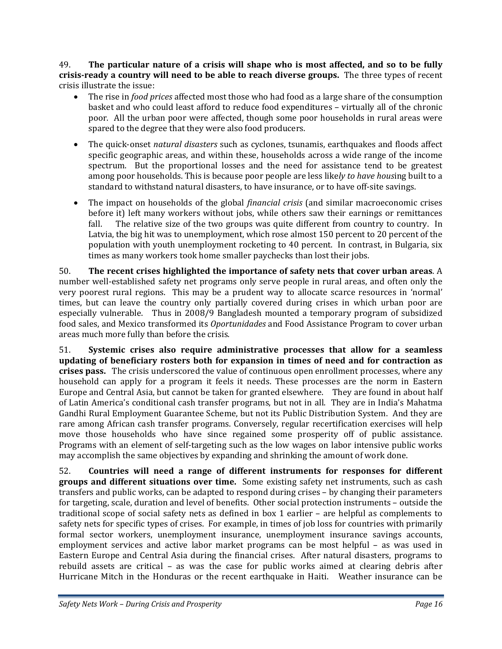49. **The particular nature of a crisis will shape who is most affected, and so to be fully crisisready a country will need to be able to reach diverse groups.** The three types of recent crisis illustrate the issue:

- The rise in *food prices* affected most those who had food as a large share of the consumption basket and who could least afford to reduce food expenditures – virtually all of the chronic poor. All the urban poor were affected, though some poor households in rural areas were spared to the degree that they were also food producers.
- The quick‐onset *natural disasters* such as cyclones, tsunamis, earthquakes and floods affect specific geographic areas, and within these, households across a wide range of the income spectrum. But the proportional losses and the need for assistance tend to be greatest among poor households. This is because poor people are less like*ly to have hous*ing built to a standard to withstand natural disasters, to have insurance, or to have off-site savings.
- The impact on households of the global *financial crisis* (and similar macroeconomic crises before it) left many workers without jobs, while others saw their earnings or remittances fall. The relative size of the two groups was quite different from country to country. In Latvia, the big hit was to unemployment, which rose almost 150 percent to 20 percent of the population with youth unemployment rocketing to 40 percent. In contrast, in Bulgaria, six times as many workers took home smaller paychecks than lost their jobs.

50. **The recent crises highlighted the importance of safety nets that cover urban areas**. A number well‐established safety net programs only serve people in rural areas, and often only the very poorest rural regions. This may be a prudent way to allocate scarce resources in 'normal' times, but can leave the country only partially covered during crises in which urban poor are especially vulnerable. Thus in 2008/9 Bangladesh mounted a temporary program of subsidized food sales, and Mexico transformed its *Oportunidades* and Food Assistance Program to cover urban areas much more fully than before the crisis.

51. **Systemic crises also require administrative processes that allow for a seamless updating of beneficiary rosters both for expansion in times of need and for contraction as crises pass.** The crisis underscored the value of continuous open enrollment processes, where any household can apply for a program it feels it needs. These processes are the norm in Eastern Europe and Central Asia, but cannot be taken for granted elsewhere. They are found in about half of Latin America's conditional cash transfer programs, but not in all. They are in India's Mahatma Gandhi Rural Employment Guarantee Scheme, but not its Public Distribution System. And they are rare among African cash transfer programs. Conversely, regular recertification exercises will help move those households who have since regained some prosperity off of public assistance. Programs with an element of self-targeting such as the low wages on labor intensive public works may accomplish the same objectives by expanding and shrinking the amount of work done.

52. **Countries will need a range of different instruments for responses for different groups and different situations over time.** Some existing safety net instruments, such as cash transfers and public works, can be adapted to respond during crises – by changing their parameters for targeting, scale, duration and level of benefits. Other social protection instruments – outside the traditional scope of social safety nets as defined in box 1 earlier - are helpful as complements to safety nets for specific types of crises. For example, in times of job loss for countries with primarily formal sector workers, unemployment insurance, unemployment insurance savings accounts, employment services and active labor market programs can be most helpful – as was used in Eastern Europe and Central Asia during the financial crises. After natural disasters, programs to rebuild assets are critical – as was the case for public works aimed at clearing debris after Hurricane Mitch in the Honduras or the recent earthquake in Haiti. Weather insurance can be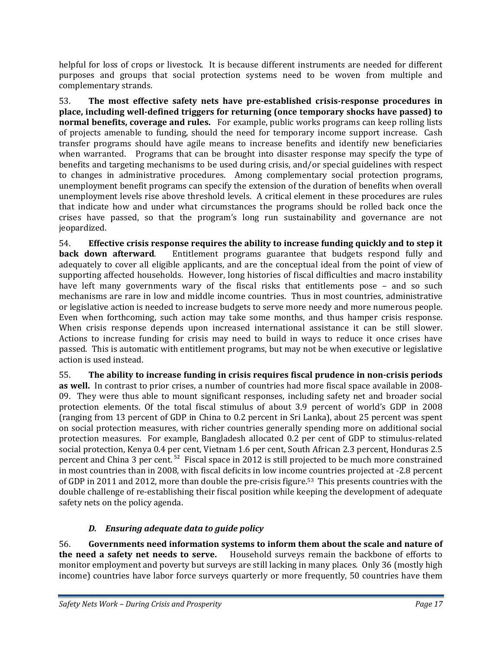helpful for loss of crops or livestock. It is because different instruments are needed for different purposes and groups that social protection systems need to be woven from multiple and complementary strands.

53. **The most effective safety nets have preestablished crisisresponse procedures in place, including welldefined triggers for returning (once temporary shocks have passed) to normal benefits, coverage and rules.** For example, public works programs can keep rolling lists of projects amenable to funding, should the need for temporary income support increase. Cash transfer programs should have agile means to increase benefits and identify new beneficiaries when warranted. Programs that can be brought into disaster response may specify the type of benefits and targeting mechanisms to be used during crisis, and/or special guidelines with respect to changes in administrative procedures. Among complementary social protection programs, unemployment benefit programs can specify the extension of the duration of benefits when overall unemployment levels rise above threshold levels. A critical element in these procedures are rules that indicate how and under what circumstances the programs should be rolled back once the crises have passed, so that the program's long run sustainability and governance are not jeopardized.

54. **Effective crisis response requires the ability to increase funding quickly and to step it back down afterward.** Entitlement programs guarantee that budgets respond fully and adequately to cover all eligible applicants, and are the conceptual ideal from the point of view of supporting affected households. However, long histories of fiscal difficulties and macro instability have left many governments wary of the fiscal risks that entitlements pose – and so such mechanisms are rare in low and middle income countries. Thus in most countries, administrative or legislative action is needed to increase budgets to serve more needy and more numerous people. Even when forthcoming, such action may take some months, and thus hamper crisis response. When crisis response depends upon increased international assistance it can be still slower. Actions to increase funding for crisis may need to build in ways to reduce it once crises have passed. This is automatic with entitlement programs, but may not be when executive or legislative action is used instead.

55. **The ability to increase funding in crisis requires fiscal prudence in noncrisis periods as well.** In contrast to prior crises, a number of countries had more fiscal space available in 2008– 09. They were thus able to mount significant responses, including safety net and broader social protection elements. Of the total fiscal stimulus of about 3.9 percent of world's GDP in 2008 (ranging from 13 percent of GDP in China to 0.2 percent in Sri Lanka), about 25 percent was spent on social protection measures, with richer countries generally spending more on additional social protection measures. For example, Bangladesh allocated 0.2 per cent of GDP to stimulus-related social protection, Kenya 0.4 per cent, Vietnam 1.6 per cent, South African 2.3 percent, Honduras 2.5 percent and China 3 per cent.<sup>52</sup> Fiscal space in 2012 is still projected to be much more constrained in most countries than in 2008, with fiscal deficits in low income countries projected at ‐2.8 percent of GDP in 2011 and 2012, more than double the pre-crisis figure.<sup>53</sup> This presents countries with the double challenge of re‐establishing their fiscal position while keeping the development of adequate safety nets on the policy agenda.

# *D. Ensuring adequate data to guide policy*

56. **Governments need information systems to inform them about the scale and nature of the need a safety net needs to serve.** Household surveys remain the backbone of efforts to monitor employment and poverty but surveys are still lacking in many places. Only 36 (mostly high income) countries have labor force surveys quarterly or more frequently, 50 countries have them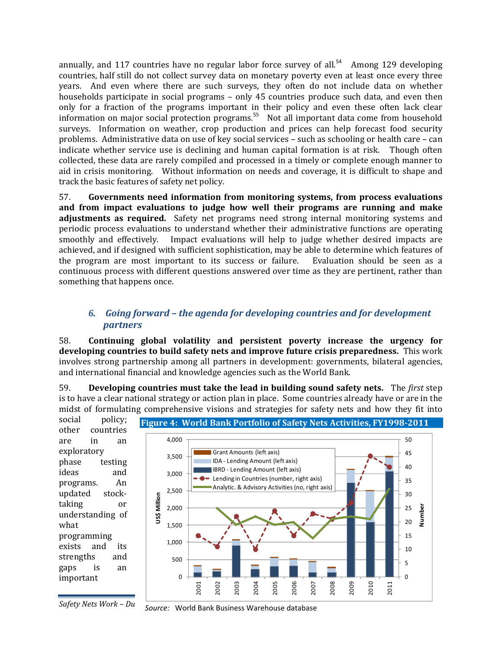annually, and 117 countries have no regular labor force survey of all.<sup>54</sup> Among 129 developing countries, half still do not collect survey data on monetary poverty even at least once every three years. And even where there are such surveys, they often do not include data on whether households participate in social programs – only 45 countries produce such data, and even then only for a fraction of the programs important in their policy and even these often lack clear information on major social protection programs.<sup>55</sup> Not all important data come from household surveys. Information on weather, crop production and prices can help forecast food security problems. Administrative data on use of key social services – such as schooling or health care – can indicate whether service use is declining and human capital formation is at risk. Though often collected, these data are rarely compiled and processed in a timely or complete enough manner to aid in crisis monitoring. Without information on needs and coverage, it is difficult to shape and track the basic features of safety net policy.

57. **Governments need information from monitoring systems, from process evaluations and from impact evaluations to judge how well their programs are running and make adjustments** as required. Safety net programs need strong internal monitoring systems and periodic process evaluations to understand whether their administrative functions are operating smoothly and effectively. Impact evaluations will help to judge whether desired impacts are achieved, and if designed with sufficient sophistication, may be able to determine which features of the program are most important to its success or failure. Evaluation should be seen as a continuous process with different questions answered over time as they are pertinent, rather than something that happens once.

# *6. Going forward – the agenda for developing countries and for development partners*

58. **Continuing global volatility and persistent poverty increase the urgency for developing countries to build safety nets and improve future crisis preparedness.** This work involves strong partnership among all partners in development: governments, bilateral agencies, and international financial and knowledge agencies such as the World Bank.

59. **Developing countries must take the lead in building sound safety nets.**  The *first* step is to have a clear national strategy or action plan in place. Some countries already have or are in the midst of formulating comprehensive visions and strategies for safety nets and how they fit into



*Safety Nets Work – Du Source:* World Bank Business Warehouse database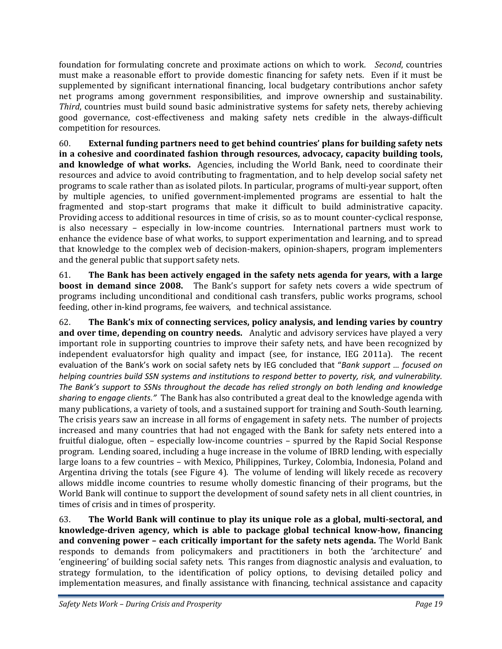foundation for formulating concrete and proximate actions on which to work. *Second*, countries must make a reasonable effort to provide domestic financing for safety nets. Even if it must be supplemented by significant international financing, local budgetary contributions anchor safety net programs among government responsibilities, and improve ownership and sustainability. *Third*, countries must build sound basic administrative systems for safety nets, thereby achieving good governance, cost-effectiveness and making safety nets credible in the always-difficult competition for resources.

60. **External funding partners need to get behind countries' plans for building safety nets in a cohesive and coordinated fashion through resources, advocacy, capacity building tools, and knowledge of what works.**  Agencies, including the World Bank, need to coordinate their resources and advice to avoid contributing to fragmentation, and to help develop social safety net programs to scale rather than as isolated pilots. In particular, programs of multi‐year support, often by multiple agencies, to unified government‐implemented programs are essential to halt the fragmented and stop‐start programs that make it difficult to build administrative capacity. Providing access to additional resources in time of crisis, so as to mount counter‐cyclical response, is also necessary – especially in low-income countries. International partners must work to enhance the evidence base of what works, to support experimentation and learning, and to spread that knowledge to the complex web of decision‐makers, opinion‐shapers, program implementers and the general public that support safety nets.

61. **The Bank has been actively engaged in the safety nets agenda for years, with a large boost in demand since 2008.** The Bank's support for safety nets covers a wide spectrum of programs including unconditional and conditional cash transfers, public works programs, school feeding, other in-kind programs, fee waivers, and technical assistance.

62. **The Bank's mix of connecting services, policy analysis, and lending varies by country and over time, depending on country needs.** Analytic and advisory services have played a very important role in supporting countries to improve their safety nets, and have been recognized by independent evaluatorsfor high quality and impact (see, for instance, IEG 2011a). The recent evaluation of the Bank's work on social safety nets by IEG concluded that "*Bank support … focused on helping countries build SSN systems and institutions to respond better to poverty, risk, and vulnerability. The Bank's support to SSNs throughout the decade has relied strongly on both lending and knowledge sharing to engage clients."* The Bank has also contributed a great deal to the knowledge agenda with many publications, a variety of tools, and a sustained support for training and South‐South learning. The crisis years saw an increase in all forms of engagement in safety nets. The number of projects increased and many countries that had not engaged with the Bank for safety nets entered into a fruitful dialogue, often - especially low-income countries - spurred by the Rapid Social Response program. Lending soared, including a huge increase in the volume of IBRD lending, with especially large loans to a few countries – with Mexico, Philippines, Turkey, Colombia, Indonesia, Poland and Argentina driving the totals (see Figure 4). The volume of lending will likely recede as recovery allows middle income countries to resume wholly domestic financing of their programs, but the World Bank will continue to support the development of sound safety nets in all client countries, in times of crisis and in times of prosperity.

63. **The World Bank will continue to play its unique role as a global, multisectoral, and knowledgedriven agency, which is able to package global technical knowhow, financing and convening power – each critically important for the safety nets agenda.** The World Bank responds to demands from policymakers and practitioners in both the 'architecture' and 'engineering' of building social safety nets. This ranges from diagnostic analysis and evaluation, to strategy formulation, to the identification of policy options, to devising detailed policy and implementation measures, and finally assistance with financing, technical assistance and capacity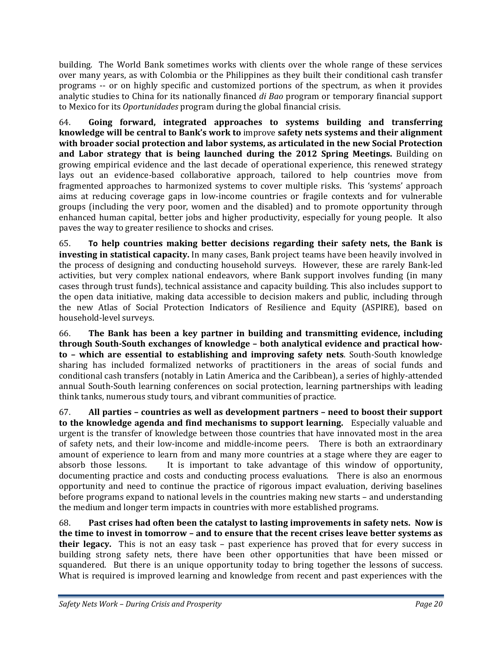building. The World Bank sometimes works with clients over the whole range of these services over many years, as with Colombia or the Philippines as they built their conditional cash transfer programs -- or on highly specific and customized portions of the spectrum, as when it provides analytic studies to China for its nationally financed *di Bao* program or temporary financial support to Mexico for its *Oportunidades* program during the global financial crisis.

64. **Going forward, integrated approaches to systems building and transferring knowledge will be central to Bank's work to** improve **safety nets systems and their alignment with broader social protection and labor systems, as articulated in the new Social Protection and Labor strategy that is being launched during the 2012 Spring Meetings.** Building on growing empirical evidence and the last decade of operational experience, this renewed strategy lays out an evidence-based collaborative approach, tailored to help countries move from fragmented approaches to harmonized systems to cover multiple risks. This 'systems' approach aims at reducing coverage gaps in low‐income countries or fragile contexts and for vulnerable groups (including the very poor, women and the disabled) and to promote opportunity through enhanced human capital, better jobs and higher productivity, especially for young people. It also paves the way to greater resilience to shocks and crises.

65. **To help countries making better decisions regarding their safety nets, the Bank is investing in statistical capacity.** In many cases, Bank project teams have been heavily involved in the process of designing and conducting household surveys. However, these are rarely Bank‐led activities, but very complex national endeavors, where Bank support involves funding (in many cases through trust funds), technical assistance and capacity building. This also includes support to the open data initiative, making data accessible to decision makers and public, including through the new Atlas of Social Protection Indicators of Resilience and Equity (ASPIRE), based on household‐level surveys.

66. **The Bank has been a key partner in building and transmitting evidence, including through SouthSouth exchanges of knowledge – both analytical evidence and practical howto – which are essential to establishing and improving safety nets**. South‐South knowledge sharing has included formalized networks of practitioners in the areas of social funds and conditional cash transfers (notably in Latin America and the Caribbean), a series of highly‐attended annual South‐South learning conferences on social protection, learning partnerships with leading think tanks, numerous study tours, and vibrant communities of practice.

67. **All parties – countries as well as development partners – need to boost their support to the knowledge agenda and find mechanisms to support learning.**  Especially valuable and urgent is the transfer of knowledge between those countries that have innovated most in the area of safety nets, and their low‐income and middle‐income peers. There is both an extraordinary amount of experience to learn from and many more countries at a stage where they are eager to absorb those lessons. It is important to take advantage of this window of opportunity, documenting practice and costs and conducting process evaluations. There is also an enormous opportunity and need to continue the practice of rigorous impact evaluation, deriving baselines before programs expand to national levels in the countries making new starts – and understanding the medium and longer term impacts in countries with more established programs.

68. **Past crises had often been the catalyst to lasting improvements in safety nets. Now is the time to invest in tomorrow – and to ensure that the recent crises leave better systems as their legacy.** This is not an easy task – past experience has proved that for every success in building strong safety nets, there have been other opportunities that have been missed or squandered. But there is an unique opportunity today to bring together the lessons of success. What is required is improved learning and knowledge from recent and past experiences with the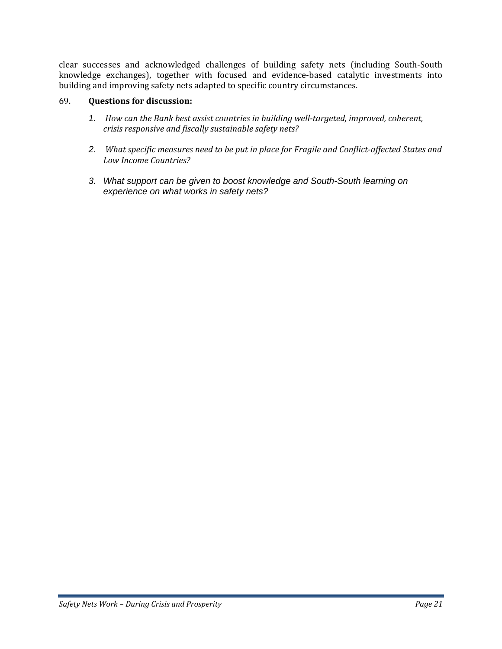clear successes and acknowledged challenges of building safety nets (including South‐South knowledge exchanges), together with focused and evidence‐based catalytic investments into building and improving safety nets adapted to specific country circumstances.

## 69. **Questions for discussion:**

- *1. How can the Bank best assist countries in building welltargeted, improved, coherent, crisis responsive and fiscally sustainable safety nets?*
- *2. What specific measures need to be put in place for Fragile and Conflictaffected States and Low Income Countries?*
- *3. What support can be given to boost knowledge and South-South learning on experience on what works in safety nets?*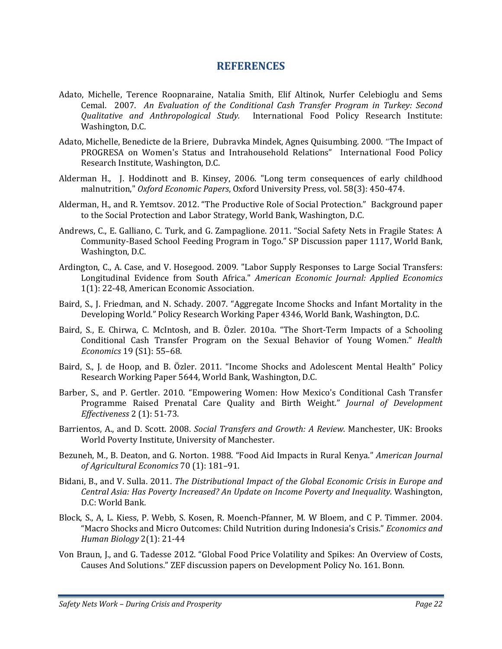# **REFERENCES**

- Adato, Michelle, Terence Roopnaraine, Natalia Smith, Elif Altinok, Nurfer Celebioglu and Sems Cemal. 2007. *An Evaluation of the Conditional Cash Transfer Program in Turkey: Second Qualitative and Anthropological Study.*  International Food Policy Research Institute: Washington, D.C.
- Adato, Michelle, Benedicte de la Briere, Dubravka Mindek, Agnes Quisumbing. 2000. "The Impact of PROGRESA on Women's Status and Intrahousehold Relations" International Food Policy Research Institute, Washington, D.C.
- Alderman H., J. Hoddinott and B. Kinsey, 2006. "Long term consequences of early childhood malnutrition," *Oxford Economic Papers*, Oxford University Press, vol. 58(3): 450‐474.
- Alderman, H., and R. Yemtsov. 2012. "The Productive Role of Social Protection." Background paper to the Social Protection and Labor Strategy, World Bank, Washington, D.C.
- Andrews, C., E. Galliano, C. Turk, and G. Zampaglione. 2011. "Social Safety Nets in Fragile States: A Community‐Based School Feeding Program in Togo." SP Discussion paper 1117, World Bank, Washington, D.C.
- Ardington, C., A. Case, and V. Hosegood. 2009. "Labor Supply Responses to Large Social Transfers: Longitudinal Evidence from South Africa." *American Economic Journal: Applied Economics* 1(1): 22‐48, American Economic Association.
- Baird, S., J. Friedman, and N. Schady. 2007. "Aggregate Income Shocks and Infant Mortality in the Developing World." Policy Research Working Paper 4346, World Bank, Washington, D.C.
- Baird, S., E. Chirwa, C. McIntosh, and B. Özler. 2010a. "The Short‐Term Impacts of a Schooling Conditional Cash Transfer Program on the Sexual Behavior of Young Women." *Health Economics* 19 (S1): 55–68.
- Baird, S., J. de Hoop, and B. Özler. 2011. "Income Shocks and Adolescent Mental Health" Policy Research Working Paper 5644, World Bank, Washington, D.C.
- Barber, S., and P. Gertler. 2010. "Empowering Women: How Mexico's Conditional Cash Transfer Programme Raised Prenatal Care Quality and Birth Weight." *Journal of Development Effectiveness* 2 (1): 51‐73.
- Barrientos, A., and D. Scott. 2008. *Social Transfers and Growth: A Review*. Manchester, UK: Brooks World Poverty Institute, University of Manchester.
- Bezuneh, M., B. Deaton, and G. Norton. 1988. "Food Aid Impacts in Rural Kenya." *American Journal of Agricultural Economics* 70 (1): 181–91.
- Bidani, B., and V. Sulla. 2011. *The Distributional Impact of the Global Economic Crisis in Europe and Central Asia: Has Poverty Increased? An Update on Income Poverty and Inequality*. Washington, D.C: World Bank.
- Block, S., A, L. Kiess, P. Webb, S. Kosen, R. Moench‐Pfanner, M. W Bloem, and C P. Timmer. 2004. "Macro Shocks and Micro Outcomes: Child Nutrition during Indonesia's Crisis." *Economics and Human Biology* 2(1): 21‐44
- Von Braun, J., and G. Tadesse 2012. "Global Food Price Volatility and Spikes: An Overview of Costs, Causes And Solutions." ZEF discussion papers on Development Policy No. 161. Bonn.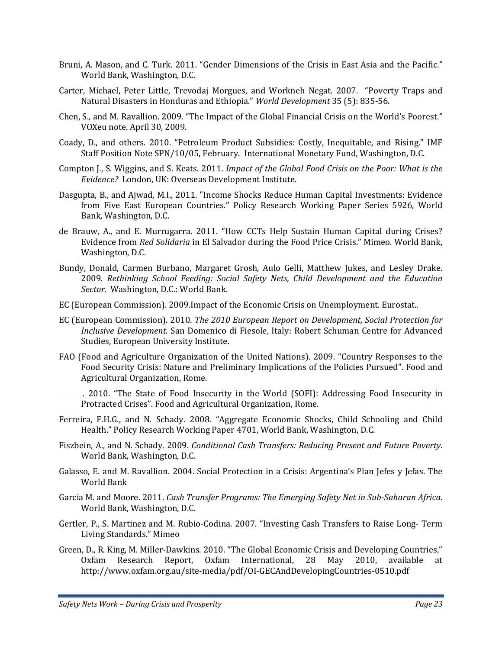- Bruni, A. Mason, and C. Turk. 2011. "Gender Dimensions of the Crisis in East Asia and the Pacific." World Bank, Washington, D.C.
- Carter, Michael, Peter Little, Trevodaj Morgues, and Workneh Negat. 2007. "Poverty Traps and Natural Disasters in Honduras and Ethiopia." *World Development* 35 (5): 835‐56.
- Chen, S., and M. Ravallion. 2009. "The Impact of the Global Financial Crisis on the World's Poorest." VOXeu note. April 30, 2009.
- Coady, D., and others. 2010. "Petroleum Product Subsidies: Costly, Inequitable, and Rising." IMF Staff Position Note SPN/10/05, February. International Monetary Fund, Washington, D.C.
- Compton J., S. Wiggins, and S. Keats. 2011. *Impact of the Global Food Crisis on the Poor: What is the Evidence?* London, UK: Overseas Development Institute.
- Dasgupta, B., and Ajwad, M.I., 2011. "Income Shocks Reduce Human Capital Investments: Evidence from Five East European Countries." Policy Research Working Paper Series 5926, World Bank, Washington, D.C.
- de Brauw, A., and E. Murrugarra. 2011. "How CCTs Help Sustain Human Capital during Crises? Evidence from *Red Solidaria* in El Salvador during the Food Price Crisis." Mimeo. World Bank, Washington, D.C.
- Bundy, Donald, Carmen Burbano, Margaret Grosh, Aulo Gelli, Matthew Jukes, and Lesley Drake. 2009. *Rethinking School Feeding: Social Safety Nets, Child Development and the Education Sector.* Washington, D.C.: World Bank.
- EC (European Commission). 2009.Impact of the Economic Crisis on Unemployment. Eurostat*.*.
- EC (European Commission). 2010. *The 2010 European Report on Development, Social Protection for Inclusive Development.* San Domenico di Fiesole, Italy: Robert Schuman Centre for Advanced Studies, European University Institute.
- FAO (Food and Agriculture Organization of the United Nations). 2009. "Country Responses to the Food Security Crisis: Nature and Preliminary Implications of the Policies Pursued". Food and Agricultural Organization, Rome.

 . 2010. "The State of Food Insecurity in the World (SOFI): Addressing Food Insecurity in Protracted Crises". Food and Agricultural Organization, Rome.

- Ferreira, F.H.G., and N. Schady. 2008. "Aggregate Economic Shocks, Child Schooling and Child Health." Policy Research Working Paper 4701, World Bank, Washington, D.C.
- Fiszbein, A., and N. Schady. 2009. *Conditional Cash Transfers: Reducing Present and Future Poverty*. World Bank, Washington, D.C.
- Galasso, E. and M. Ravallion. 2004. Social Protection in a Crisis: Argentina's Plan Jefes y Jefas. The World Bank
- Garcia M. and Moore. 2011. *Cash Transfer Programs: The Emerging Safety Net in SubSaharan Africa.* World Bank, Washington, D.C.
- Gertler, P., S. Martinez and M. Rubio‐Codina. 2007. "Investing Cash Transfers to Raise Long‐ Term Living Standards." Mimeo
- Green, D., R. King, M. Miller‐Dawkins. 2010. "The Global Economic Crisis and Developing Countries," Oxfam Research Report, Oxfam International, 28 May 2010, available at http://www.oxfam.org.au/site‐media/pdf/OI‐GECAndDevelopingCountries‐0510.pdf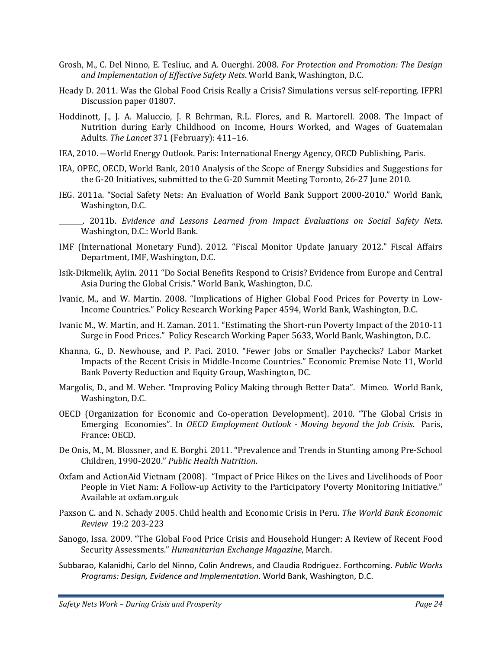- Grosh, M., C. Del Ninno, E. Tesliuc, and A. Ouerghi. 2008. *For Protection and Promotion: The Design and Implementation of Effective Safety Nets*. World Bank, Washington, D.C.
- Heady D. 2011. Was the Global Food Crisis Really a Crisis? Simulations versus self-reporting. IFPRI Discussion paper 01807.
- Hoddinott, J., J. A. Maluccio, J. R Behrman, R.L. Flores, and R. Martorell. 2008. The Impact of Nutrition during Early Childhood on Income, Hours Worked, and Wages of Guatemalan Adults. *The Lancet* 371 (February): 411–16.
- IEA, 2010. ―World Energy Outlook. Paris: International Energy Agency, OECD Publishing, Paris.
- IEA, OPEC, OECD, World Bank, 2010 Analysis of the Scope of Energy Subsidies and Suggestions for the G‐20 Initiatives, submitted to the G‐20 Summit Meeting Toronto, 26‐27 June 2010.
- IEG. 2011a. "Social Safety Nets: An Evaluation of World Bank Support 2000‐2010." World Bank, Washington, D.C.
- . 2011b. *Evidence and Lessons Learned from Impact Evaluations on Social Safety Nets*. Washington, D.C.: World Bank.
- IMF (International Monetary Fund). 2012. "Fiscal Monitor Update January 2012." Fiscal Affairs Department, IMF, Washington, D.C.
- Isik‐Dikmelik, Aylin. 2011 "Do Social Benefits Respond to Crisis? Evidence from Europe and Central Asia During the Global Crisis." World Bank, Washington, D.C.
- Ivanic, M., and W. Martin. 2008. "Implications of Higher Global Food Prices for Poverty in Low‐ Income Countries." Policy Research Working Paper 4594, World Bank, Washington, D.C.
- Ivanic M., W. Martin, and H. Zaman. 2011. "Estimating the Short‐run Poverty Impact of the 2010‐11 Surge in Food Prices." Policy Research Working Paper 5633, World Bank, Washington, D.C.
- Khanna, G., D. Newhouse, and P. Paci. 2010. "Fewer Jobs or Smaller Paychecks? Labor Market Impacts of the Recent Crisis in Middle‐Income Countries." Economic Premise Note 11, World Bank Poverty Reduction and Equity Group, Washington, DC.
- Margolis, D., and M. Weber. "Improving Policy Making through Better Data". Mimeo. World Bank, Washington, D.C.
- OECD (Organization for Economic and Co‐operation Development). 2010. "The Global Crisis in Emerging Economies". In *OECD Employment Outlook Moving beyond the Job Crisis*. Paris, France: OECD.
- De Onis, M., M. Blossner, and E. Borghi. 2011. "Prevalence and Trends in Stunting among Pre‐School Children, 1990‐2020." *Public Health Nutrition*.
- Oxfam and ActionAid Vietnam (2008). "Impact of Price Hikes on the Lives and Livelihoods of Poor People in Viet Nam: A Follow-up Activity to the Participatory Poverty Monitoring Initiative." Available at oxfam.org.uk
- Paxson C. and N. Schady 2005. Child health and Economic Crisis in Peru. *The World Bank Economic Review* 19:2 203‐223
- Sanogo, Issa. 2009. "The Global Food Price Crisis and Household Hunger: A Review of Recent Food Security Assessments." *Humanitarian Exchange Magazine*, March.
- Subbarao, Kalanidhi, Carlo del Ninno, Colin Andrews, and Claudia Rodriguez. Forthcoming. *Public Works Programs: Design, Evidence and Implementation*. World Bank, Washington, D.C.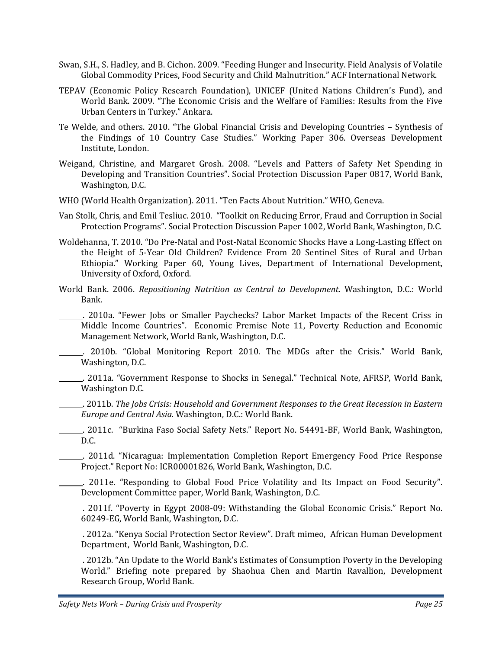- Swan, S.H., S. Hadley, and B. Cichon. 2009. "Feeding Hunger and Insecurity. Field Analysis of Volatile Global Commodity Prices, Food Security and Child Malnutrition." ACF International Network.
- TEPAV (Economic Policy Research Foundation), UNICEF (United Nations Children's Fund), and World Bank. 2009. "The Economic Crisis and the Welfare of Families: Results from the Five Urban Centers in Turkey." Ankara.
- Te Welde, and others. 2010. "The Global Financial Crisis and Developing Countries Synthesis of the Findings of 10 Country Case Studies." Working Paper 306. Overseas Development Institute, London.
- Weigand, Christine, and Margaret Grosh. 2008. "Levels and Patters of Safety Net Spending in Developing and Transition Countries". Social Protection Discussion Paper 0817, World Bank, Washington, D.C.
- WHO (World Health Organization). 2011. "Ten Facts About Nutrition." WHO, Geneva.
- Van Stolk, Chris, and Emil Tesliuc. 2010. "Toolkit on Reducing Error, Fraud and Corruption in Social Protection Programs". Social Protection Discussion Paper 1002, World Bank, Washington, D.C.
- Woldehanna, T. 2010. "Do Pre‐Natal and Post‐Natal Economic Shocks Have a Long‐Lasting Effect on the Height of 5-Year Old Children? Evidence From 20 Sentinel Sites of Rural and Urban Ethiopia." Working Paper 60, Young Lives, Department of International Development, University of Oxford, Oxford.
- World Bank. 2006. *Repositioning Nutrition as Central to Development*. Washington, D.C.: World Bank.

 . 2010a. "Fewer Jobs or Smaller Paychecks? Labor Market Impacts of the Recent Criss in Middle Income Countries". Economic Premise Note 11, Poverty Reduction and Economic Management Network, World Bank, Washington, D.C.

 . 2010b. "Global Monitoring Report 2010. The MDGs after the Crisis." World Bank, Washington, D.C.

 . 2011a. "Government Response to Shocks in Senegal." Technical Note, AFRSP, World Bank, Washington D.C.

 . 2011b. *The Jobs Crisis: Household and Government Responses to the Great Recession in Eastern Europe and Central Asia.* Washington, D.C.: World Bank.

- . 2011c. "Burkina Faso Social Safety Nets." Report No. 54491‐BF, World Bank, Washington, D.C.
- . 2011d. "Nicaragua: Implementation Completion Report Emergency Food Price Response Project." Report No: ICR00001826, World Bank, Washington, D.C.
- . 2011e. "Responding to Global Food Price Volatility and Its Impact on Food Security". Development Committee paper, World Bank, Washington, D.C.
	- . 2011f. "Poverty in Egypt 2008‐09: Withstanding the Global Economic Crisis." Report No. 60249‐EG, World Bank, Washington, D.C.

 . 2012a. "Kenya Social Protection Sector Review". Draft mimeo, African Human Development Department, World Bank, Washington, D.C.

 . 2012b. "An Update to the World Bank's Estimates of Consumption Poverty in the Developing World." Briefing note prepared by Shaohua Chen and Martin Ravallion, Development Research Group, World Bank.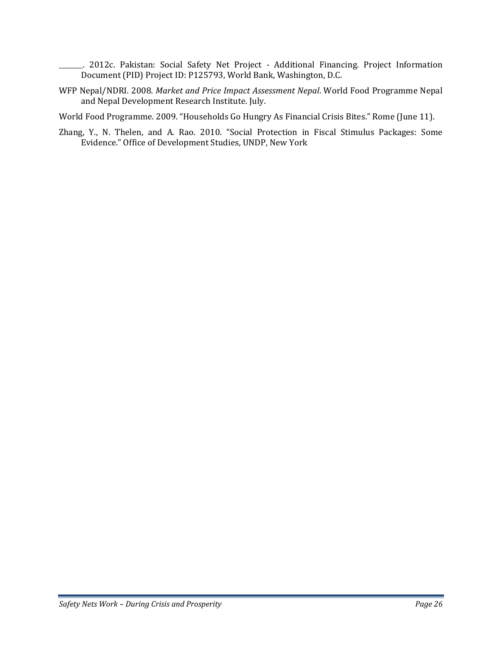. 2012c. Pakistan: Social Safety Net Project ‐ Additional Financing. Project Information Document (PID) Project ID: P125793, World Bank, Washington, D.C.

WFP Nepal/NDRI. 2008. *Market and Price Impact Assessment Nepal*. World Food Programme Nepal and Nepal Development Research Institute. July.

World Food Programme. 2009. "Households Go Hungry As Financial Crisis Bites." Rome (June 11).

Zhang, Y., N. Thelen, and A. Rao. 2010. "Social Protection in Fiscal Stimulus Packages: Some Evidence." Office of Development Studies, UNDP, New York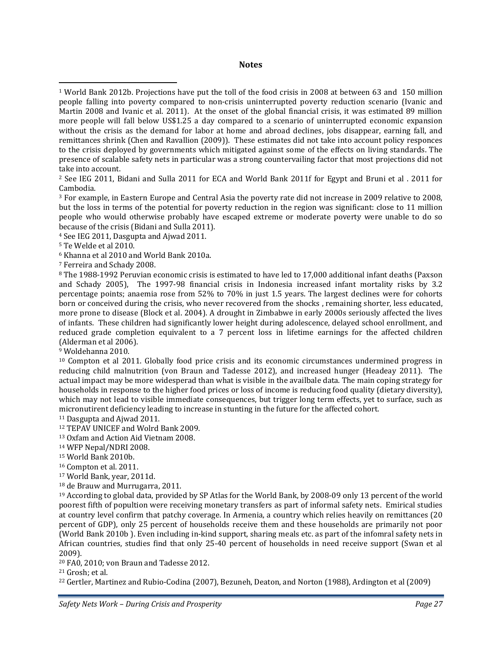#### **Notes**

9 Woldehanna 2010.

<sup>10</sup> Compton et al 2011. Globally food price crisis and its economic circumstances undermined progress in reducing child malnutrition (von Braun and Tadesse 2012), and increased hunger (Headeay 2011). The actual impact may be more widesperad than what is visible in the availbale data. The main coping strategy for households in response to the higher food prices or loss of income is reducing food quality (dietary diversity), which may not lead to visible immediate consequences, but trigger long term effects, yet to surface, such as micronutirent deficiency leading to increase in stunting in the future for the affected cohort.

11 Dasgupta and Ajwad 2011.

<sup>12</sup> TEPAV UNICEF and Wolrd Bank 2009.

13 Oxfam and Action Aid Vietnam 2008.

14 WFP Nepal/NDRI 2008.

15 World Bank 2010b.

16 Compton et al. 2011.

17 World Bank, year, 2011d.

18 de Brauw and Murrugarra, 2011.

19 According to global data, provided by SP Atlas for the World Bank, by 2008‐09 only 13 percent of the world poorest fifth of popultion were receiving monetary transfers as part of informal safety nets. Emirical studies at country level confirm that patchy coverage. In Armenia, a country which relies heavily on remittances (20 percent of GDP), only 25 percent of households receive them and these households are primarily not poor (World Bank 2010b ). Even including in‐kind support, sharing meals etc. as part of the infomral safety nets in African countries, studies find that only 25-40 percent of households in need receive support (Swan et al 2009).

20 FA0, 2010; von Braun and Tadesse 2012.

22 Gertler, Martinez and Rubio‐Codina (2007), Bezuneh, Deaton, and Norton (1988), Ardington et al (2009)

<sup>1</sup> World Bank 2012b. Projections have put the toll of the food crisis in 2008 at between 63 and 150 million people falling into poverty compared to non‐crisis uninterrupted poverty reduction scenario (Ivanic and Martin 2008 and Ivanic et al. 2011). At the onset of the global financial crisis, it was estimated 89 million more people will fall below US\$1.25 a day compared to a scenario of uninterrupted economic expansion without the crisis as the demand for labor at home and abroad declines, jobs disappear, earning fall, and remittances shrink (Chen and Ravallion (2009)). These estimates did not take into account policy responces to the crisis deployed by governments which mitigated against some of the effects on living standards. The presence of scalable safety nets in particular was a strong countervailing factor that most projections did not take into account.

<sup>&</sup>lt;sup>2</sup> See IEG 2011, Bidani and Sulla 2011 for ECA and World Bank 2011f for Egypt and Bruni et al. 2011 for Cambodia.

<sup>3</sup> For example, in Eastern Europe and Central Asia the poverty rate did not increase in 2009 relative to 2008, but the loss in terms of the potential for poverty reduction in the region was significant: close to 11 million people who would otherwise probably have escaped extreme or moderate poverty were unable to do so because of the crisis (Bidani and Sulla 2011).

<sup>4</sup> See IEG 2011, Dasgupta and Ajwad 2011.

<sup>5</sup> Te Welde et al 2010.

<sup>6</sup> Khanna et al 2010 and World Bank 2010a.

<sup>7</sup> Ferreira and Schady 2008.

<sup>8</sup> The 1988‐1992 Peruvian economic crisis is estimated to have led to 17,000 additional infant deaths (Paxson and Schady 2005), The 1997-98 financial crisis in Indonesia increased infant mortality risks by 3.2 percentage points; anaemia rose from 52% to 70% in just 1.5 years. The largest declines were for cohorts born or conceived during the crisis, who never recovered from the shocks , remaining shorter, less educated, more prone to disease (Block et al. 2004). A drought in Zimbabwe in early 2000s seriously affected the lives of infants. These children had significantly lower height during adolescence, delayed school enrollment, and reduced grade completion equivalent to a 7 percent loss in lifetime earnings for the affected children (Alderman et al 2006).

<sup>21</sup> Grosh; et al.